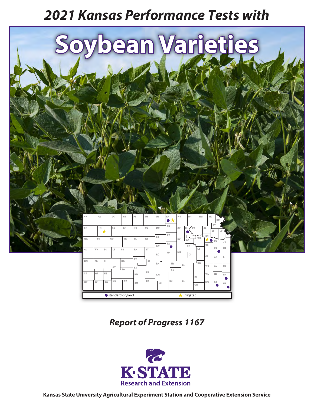# *2021 Kansas Performance Tests with*



*Report of Progress 1167*

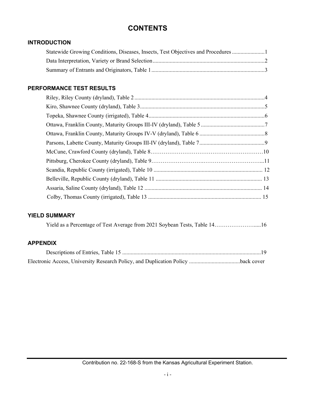# **CONTENTS**

## **INTRODUCTION**

| Statewide Growing Conditions, Diseases, Insects, Test Objectives and Procedures |  |
|---------------------------------------------------------------------------------|--|
|                                                                                 |  |
|                                                                                 |  |

# **PERFORMANCE TEST RESULTS**

# **YIELD SUMMARY**

## **APPENDIX**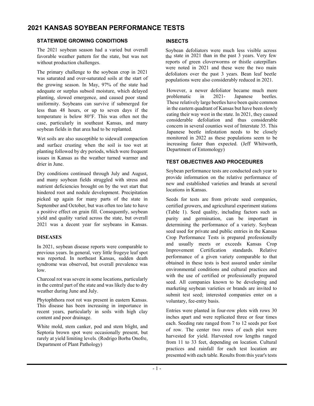# **2021 KANSAS SOYBEAN PERFORMANCE TESTS**

## **STATEWIDE GROWING CONDITIONS**

The 2021 soybean season had a varied but overall favorable weather pattern for the state, but was not without production challenges.

The primary challenge to the soybean crop in 2021 was saturated and over-saturated soils at the start of the growing season. In May, 97% of the state had adequate or surplus subsoil moisture, which delayed planting, slowed emergence, and caused poor stand uniformity. Soybeans can survive if submerged for less than 48 hours, or up to seven days if the temperature is below 80°F. This was often not the case, particularly in southeast Kansas, and many soybean fields in that area had to be replanted.

Wet soils are also susceptible to sidewall compaction and surface crusting when the soil is too wet at planting followed by dry periods, which were frequent issues in Kansas as the weather turned warmer and drier in June.

Dry conditions continued through July and August, and many soybean fields struggled with stress and nutrient deficiencies brought on by the wet start that hindered root and nodule development. Precipitation picked up again for many parts of the state in September and October, but was often too late to have a positive effect on grain fill. Consequently, soybean yield and quality varied across the state, but overall 2021 was a decent year for soybeans in Kansas.

#### **DISEASES**

In 2021, soybean disease reports were comparable to previous years. In general, very little frogeye leaf spot was reported. In northeast Kansas, sudden death syndrome was observed, but overall prevalence was low.

Charcoal rot was severe in some locations, particularly in the central part of the state and was likely due to dry weather during June and July.

Phytophthora root rot was present in eastern Kansas. This disease has been increasing in importance in recent years, particularly in soils with high clay content and poor drainage.

White mold, stem canker, pod and stem blight, and Septoria brown spot were occasionally present, but rarely at yield limiting levels. (Rodrigo Borba Onofre, Department of Plant Pathology)

#### **INSECTS**

Soybean defoliators were much less visible across the state in 2021 than in the past 3 years. Very few reports of green cloverworms or thistle caterpillars were noted in 2021 and these were the two main defoliators over the past 3 years. Bean leaf beetle populations were also considerably reduced in 2021.

However, a newer defoliator became much more problematic in 2021- Japanese beetles. These relatively large beetles have been quite common in the eastern quadrant of Kansas but have been slowly eating their way west in the state. In 2021, they caused considerable defoliation and thus considerable concern in several counties west of Interstate 35. This Japanese beetle infestation needs to be closely monitored in 2022 as these populations seem to be increasing faster than expected. (Jeff Whitworth, Department of Entomology)

## **TEST OBJECTIVES AND PROCEDURES**

Soybean performance tests are conducted each year to provide information on the relative performance of new and established varieties and brands at several locations in Kansas.

Seeds for tests are from private seed companies, certified growers, and agricultural experiment stations (Table 1). Seed quality, including factors such as purity and germination, can be important in determining the performance of a variety. Soybean seed used for private and public entries in the Kansas Crop Performance Tests is prepared professionally and usually meets or exceeds Kansas Crop Improvement Certification standards. Relative performance of a given variety comparable to that obtained in these tests is best assured under similar environmental conditions and cultural practices and with the use of certified or professionally prepared seed. All companies known to be developing and marketing soybean varieties or brands are invited to submit test seed; interested companies enter on a voluntary, fee-entry basis.

Entries were planted in four-row plots with rows 30 inches apart and were replicated three or four times each. Seeding rate ranged from 7 to 12 seeds per foot of row. The center two rows of each plot were harvested for yield. Harvested row lengths ranged from 11 to 33 feet, depending on location. Cultural practices and rainfall for each test location are presented with each table. Results from this year's tests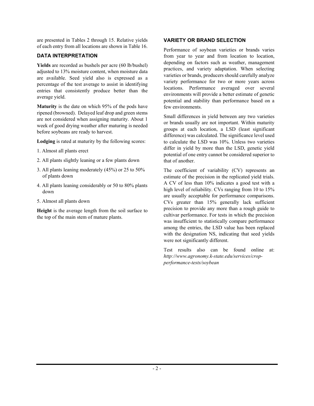are presented in Tables 2 through 15. Relative yields of each entry from all locations are shown in Table 16.

## **DATA INTERPRETATION**

**Yields** are recorded as bushels per acre (60 lb/bushel) adjusted to 13% moisture content, when moisture data are available. Seed yield also is expressed as a percentage of the test average to assist in identifying entries that consistently produce better than the average yield.

**Maturity** is the date on which 95% of the pods have ripened (browned). Delayed leaf drop and green stems are not considered when assigning maturity. About 1 week of good drying weather after maturing is needed before soybeans are ready to harvest.

**Lodging** is rated at maturity by the following scores:

- 1. Almost all plants erect
- 2. All plants slightly leaning or a few plants down
- 3. All plants leaning moderately (45%) or 25 to 50% of plants down
- 4. All plants leaning considerably or 50 to 80% plants down
- 5. Almost all plants down

**Height** is the average length from the soil surface to the top of the main stem of mature plants.

## **VARIETY OR BRAND SELECTION**

Performance of soybean varieties or brands varies from year to year and from location to location, depending on factors such as weather, management practices, and variety adaptation. When selecting varieties or brands, producers should carefully analyze variety performance for two or more years across locations. Performance averaged over several environments will provide a better estimate of genetic potential and stability than performance based on a few environments.

Small differences in yield between any two varieties or brands usually are not important. Within maturity groups at each location, a LSD (least significant difference) was calculated. The significance level used to calculate the LSD was 10%. Unless two varieties differ in yield by more than the LSD, genetic yield potential of one entry cannot be considered superior to that of another.

The coefficient of variability (CV) represents an estimate of the precision in the replicated yield trials. A CV of less than 10% indicates a good test with a high level of reliability. CVs ranging from 10 to 15% are usually acceptable for performance comparisons. CVs greater than 15% generally lack sufficient precision to provide any more than a rough guide to cultivar performance. For tests in which the precision was insufficient to statistically compare performance among the entries, the LSD value has been replaced with the designation NS, indicating that seed yields were not significantly different.

Test results also can be found online at: *http://www.agronomy.k-state.edu/services/cropperformance-tests/soybean*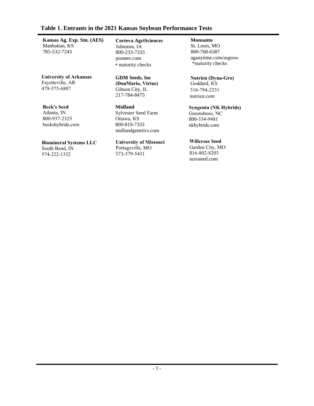## **Table 1. Entrants in the 2021 Kansas Soybean Performance Tests**

**Kansas Ag. Exp. Stn. (AES)** Manhattan, KS 785-532-7243

**University of Arkansas** Fayetteville, AR 479-575-6807

**Beck's Seed**

Atlanta, IN 800-937-2325 beckshybrids.com

**Biomineral Systems LLC** South Bend, IN 574-222-1332

**Corteva AgriSciences** Johnston, IA 800-233-7333 pioneer.com \* maturity checks

**GDM Seeds, Inc (DonMario, Virtue)** Gibson City, IL 217-784-8475

**Midland** Sylvester Seed Farm Ottawa, KS 800-819-7333 midlandgenetics.com

**University of Missouri** Portageville, MO 573-379-5431

## **Monsanto**

St. Louis, MO 800-768-6387 aganytime.com/asgrow \*maturity checks

**Nutrien (Dyna-Gro)** Goddard, KS 316-794-2231 nutrien.com

**Syngenta (NK Hybrids)** Greensboro, NC 800-334-9481 nkhybrids.com

**Willcross Seed**  Garden City, MO 816-802-8203 neroseed.com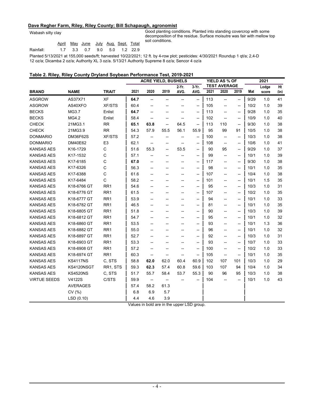#### **Dave Regher Farm, Riley, Riley County; Bill Schapaugh, agronomist**

Wabash silty clay

Good planting conditions. Planted into standing covercrop with some decomposition of the residue. Surface moisutre was fair with mellow top soil conditions.

Rainfall: April May June July Aug. Sept. Total 1.7 3.3 0.7 9.0 5.0 1.2 22.9

Planted 5/13/2021 at 155,000 seeds/ft; harvested 10/22/2021; 12 ft. by 4-row plot; pesticides: 4/30/2021 Roundup 1 qt/a; 2,4-D

12 oz/a; Dicamba 2 oz/a; Authority XL 3 oz/a. 5/13/21 Authority Supreme 8 oz/a; Sencor 4 oz/a

#### **Table 2. Riley, Riley County Dryland Soybean Performance Test, 2019-2021**

|                     |                 |                 | <b>ACRE YIELD, BUSHELS</b> |                                    |      |          | YIELD AS % OF<br><b>TEST AVERAGE</b> |      |                                                     | 2021                                                |      |       |      |
|---------------------|-----------------|-----------------|----------------------------|------------------------------------|------|----------|--------------------------------------|------|-----------------------------------------------------|-----------------------------------------------------|------|-------|------|
|                     |                 |                 |                            |                                    |      | $2-Yr$ . | $3-Yr$ .                             |      |                                                     |                                                     |      | Lodge | Ht   |
| <b>BRAND</b>        | <b>NAME</b>     | <b>TRAIT</b>    | 2021                       | 2020                               | 2019 | AVG.     | AVG.                                 | 2021 | 2020                                                | 2019                                                | Mat  | score | (in) |
| <b>ASGROW</b>       | AS37X71         | XF              | 64.7                       | --                                 | --   | --       | --                                   | 113  | $\overline{\phantom{a}}$                            | $\overline{\phantom{a}}$                            | 9/29 | 1.0   | 41   |
| <b>ASGROW</b>       | AS40XFO         | <b>XF/STS</b>   | 60.4                       |                                    |      |          | --                                   | 105  | --                                                  | $\overline{\phantom{a}}$                            | 10/2 | 1.0   | 39   |
| <b>BECKS</b>        | MG3.7           | Enlist          | 64.7                       | --                                 |      | --       | $\overline{\phantom{a}}$             | 113  | $\overline{\phantom{a}}$                            | $\overline{\phantom{a}}$                            | 9/28 | 1.0   | 35   |
| <b>BECKS</b>        | MG4.2           | Enlist          | 58.4                       | --                                 |      |          | $\overline{\phantom{a}}$             | 102  | $\overline{\phantom{a}}$                            | $\overline{\phantom{a}}$                            | 10/9 | 1.0   | 40   |
| <b>CHECK</b>        | 21MG3.1         | <b>RR</b>       | 65.1                       | 63.8                               | --   | 64.5     | $\overline{\phantom{a}}$             | 113  | 110                                                 | $\overline{\phantom{a}}$                            | 9/30 | 1.0   | 38   |
| <b>CHECK</b>        | 21MG3.9         | <b>RR</b>       | 54.3                       | 57.9                               | 55.5 | 56.1     | 55.9                                 | 95   | 99                                                  | 91                                                  | 10/5 | 1.0   | 38   |
| <b>DONMARIO</b>     | DM36F62S        | <b>XF/STS</b>   | 57.2                       | ⊷                                  | --   | --       | --                                   | 100  | $\hspace{0.05cm} -\hspace{0.05cm} -\hspace{0.05cm}$ | --                                                  | 10/3 | 1.0   | 38   |
| <b>DONMARIO</b>     | DM40E62         | E <sub>3</sub>  | 62.1                       | $\qquad \qquad -$                  | --   | --       | $\overline{\phantom{a}}$             | 108  | $\overline{\phantom{a}}$                            | $\overline{\phantom{a}}$                            | 10/6 | 1.0   | 41   |
| <b>KANSAS AES</b>   | K16-1729        | C               | 51.6                       | 55.3                               | --   | 53.5     | $\overline{\phantom{a}}$             | 90   | 95                                                  | $\overline{\phantom{a}}$                            | 9/29 | 1.0   | 37   |
| <b>KANSAS AES</b>   | K17-1532        | С               | 57.1                       | --                                 | --   | --       | $\overline{\phantom{a}}$             | 99   | $\overline{\phantom{a}}$                            | $\overline{\phantom{a}}$                            | 10/1 | 1.0   | 39   |
| <b>KANSAS AES</b>   | K17-6185        | C               | 67.0                       | --                                 | --   | --       | $\hspace{0.05cm} -\hspace{0.05cm}$   | 117  | $\overline{\phantom{a}}$                            | $\overline{\phantom{a}}$                            | 9/30 | 1.0   | 38   |
| <b>KANSAS AES</b>   | K17-6326        | C               | 56.3                       | --                                 | --   | --       | $\overline{\phantom{a}}$             | 98   | $\overline{\phantom{a}}$                            | $\overline{\phantom{a}}$                            | 10/1 | 1.0   | 35   |
| <b>KANSAS AES</b>   | K17-6388        | С               | 61.6                       | --                                 | --   | --       | $\overline{\phantom{a}}$             | 107  | $\overline{\phantom{a}}$                            | $\overline{\phantom{a}}$                            | 10/4 | 1.0   | 38   |
| <b>KANSAS AES</b>   | K17-6484        | C               | 58.2                       | --                                 | --   | --       | $\hspace{0.05cm} -\hspace{0.05cm}$   | 101  | $\overline{\phantom{a}}$                            | $\overline{\phantom{a}}$                            | 10/1 | 1.5   | 35   |
| <b>KANSAS AES</b>   | K18-6766 GT     | RR <sub>1</sub> | 54.6                       | --                                 | --   | --       | $\overline{\phantom{a}}$             | 95   | $\overline{\phantom{a}}$                            | $\overline{\phantom{a}}$                            | 10/3 | 1.0   | 31   |
| <b>KANSAS AES</b>   | K18-6776 GT     | RR <sub>1</sub> | 61.5                       | --                                 | --   |          | $\overline{\phantom{a}}$             | 107  | $\overline{\phantom{0}}$                            | $\overline{\phantom{a}}$                            | 10/2 | 1.0   | 35   |
| <b>KANSAS AES</b>   | K18-6777 GT     | RR <sub>1</sub> | 53.9                       | --                                 | --   | --       | $\overline{\phantom{a}}$             | 94   | $\overline{\phantom{a}}$                            | $\overline{\phantom{a}}$                            | 10/1 | 1.0   | 33   |
| <b>KANSAS AES</b>   | K18-6782 GT     | RR <sub>1</sub> | 46.5                       | --                                 | --   |          | $\overline{\phantom{a}}$             | 81   | $\overline{\phantom{a}}$                            | $\overline{\phantom{a}}$                            | 10/1 | 1.0   | 35   |
| <b>KANSAS AES</b>   | K18-6805 GT     | RR <sub>1</sub> | 51.8                       | --                                 | --   |          | --                                   | 90   | $\overline{\phantom{a}}$                            | $\overline{\phantom{a}}$                            | 10/3 | 1.0   | 39   |
| <b>KANSAS AES</b>   | K18-6812 GT     | RR <sub>1</sub> | 54.7                       | --                                 | --   |          | $\overline{\phantom{a}}$             | 95   | $\overline{\phantom{a}}$                            | $\overline{\phantom{a}}$                            | 10/1 | 1.0   | 32   |
| <b>KANSAS AES</b>   | K18-6860 GT     | RR <sub>1</sub> | 53.5                       | --                                 | --   | --       | $\overline{\phantom{a}}$             | 93   | $\overline{\phantom{a}}$                            | $\overline{\phantom{a}}$                            | 10/1 | 1.3   | 36   |
| <b>KANSAS AES</b>   | K18-6882 GT     | RR <sub>1</sub> | 55.0                       | --                                 | --   |          | --                                   | 96   | --                                                  | $\hspace{0.05cm} -\hspace{0.05cm} -\hspace{0.05cm}$ | 10/1 | 1.0   | 32   |
| <b>KANSAS AES</b>   | K18-6897 GT     | RR <sub>1</sub> | 52.7                       | --                                 | --   |          | $\overline{\phantom{a}}$             | 92   | $\overline{\phantom{0}}$                            | $\overline{\phantom{a}}$                            | 10/3 | 1.0   | 31   |
| <b>KANSAS AES</b>   | K18-6903 GT     | RR <sub>1</sub> | 53.3                       | --                                 | --   |          | $\overline{\phantom{a}}$             | 93   | --                                                  | $\overline{\phantom{a}}$                            | 10/7 | 1.0   | 33   |
| <b>KANSAS AES</b>   | K18-6908 GT     | RR <sub>1</sub> | 57.2                       | --                                 | --   | --       | $\hspace{0.05cm} -\hspace{0.05cm}$   | 100  | $\overline{\phantom{a}}$                            | $\overline{\phantom{a}}$                            | 10/2 | 1.0   | 33   |
| <b>KANSAS AES</b>   | K18-6974 GT     | RR <sub>1</sub> | 60.3                       | --                                 | --   | --       | --                                   | 105  | $\overline{\phantom{a}}$                            | --                                                  | 10/1 | 1.0   | 35   |
| <b>KANSAS AES</b>   | <b>KS4117NS</b> | C, STS          | 58.8                       | 62.0                               | 62.0 | 60.4     | 60.9                                 | 102  | 107                                                 | 101                                                 | 10/3 | 1.0   | 29   |
| <b>KANSAS AES</b>   | KS4120NSGT      | RR1, STS        | 59.3                       | 62.3                               | 57.4 | 60.8     | 59.6                                 | 103  | 107                                                 | 94                                                  | 10/4 | 1.0   | 34   |
| <b>KANSAS AES</b>   | <b>KS4520NS</b> | C, STS          | 51.7                       | 55.7                               | 58.4 | 53.7     | 55.3                                 | 90   | 96                                                  | 95                                                  | 10/3 | 1.0   | 38   |
| <b>VIRTUE SEEDS</b> | V4122S          | C/STS           | 59.9                       | $\hspace{0.05cm} -\hspace{0.05cm}$ | --   |          | --                                   | 104  | $\overline{\phantom{0}}$                            | --                                                  | 10/1 | 1.0   | 43   |
|                     | <b>AVERAGES</b> |                 | 57.4                       | 58.2                               | 61.3 |          |                                      |      |                                                     |                                                     |      |       |      |
|                     | CV (%)          |                 | 6.8                        | 6.9                                | 5.7  |          |                                      |      |                                                     |                                                     |      |       |      |
|                     | LSD(0.10)       |                 | 4.4                        | 4.6                                | 3.9  |          |                                      |      |                                                     |                                                     |      |       |      |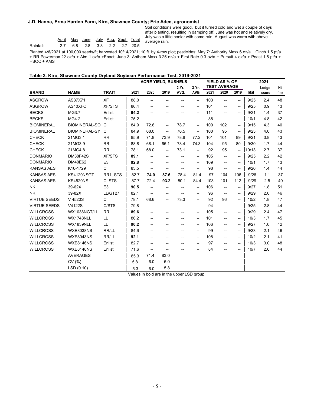#### **J.D. Hanna, Erma Harden Farm, Kiro, Shawnee County; Eric Adee, agronomist**

|           |                              | <u>April May June July Aug Sept. Total</u> |  |  |  |
|-----------|------------------------------|--------------------------------------------|--|--|--|
| Rainfall: | 2.7 6.8 2.8 3.3 2.2 2.7 20.5 |                                            |  |  |  |

Soil conditions were good, but it turned cold and wet a couple of days after planting, resulting in damping off. June was hot and relatively dry. July was a little cooler with some rain. August was warm with above average rain.

Planted 4/6/2021 at 100,000 seeds/ft; harvested 10/14/2021; 10 ft. by 4-row plot; pesticides: May 7: Authority Maxx 6 oz/a + Cinch 1.5 pt/a + RR Powermax 22 oz/a + Aim 1 oz/a +Enact; June 3: Anthem Maxx 3.25 oz/a + First Rate 0.3 oz/a + Pursuit 4 oz/a + Poast 1.5 pt/a + HSOC + AMS

#### **Table 3. Kiro, Shawnee County Dryland Soybean Performance Test, 2019-2021**

| <b>TEST AVERAGE</b><br>$3-Yr$ .<br>Ht<br>2-Yr.<br>Lodge<br>2021<br>2020<br>2019<br>2020<br><b>NAME</b><br><b>TRAIT</b><br>2021<br>AVG.<br>AVG.<br>2019<br>Mat<br><b>BRAND</b><br>(in)<br>score<br><b>XF</b><br><b>ASGROW</b><br>AS37X71<br>88.0<br>103<br>9/25<br>2.4<br>48<br>$\overline{\phantom{a}}$<br>$\overline{\phantom{a}}$<br>$\overline{\phantom{a}}$<br>--<br>$\overline{\phantom{a}}$<br>--<br><b>ASGROW</b><br>AS40XFO<br><b>XF/STS</b><br>86.4<br>0.9<br>43<br>101<br>9/25<br>--<br>--<br>$\hspace{0.05cm}$<br>--<br>--<br>--<br><b>BECKS</b><br>37<br>MG3.7<br>Enlist<br>94.2<br>9/21<br>1.4<br>111<br>$\overline{\phantom{a}}$<br>$\overline{\phantom{a}}$<br>$\overline{\phantom{a}}$<br>--<br><b>BECKS</b><br>MG4.2<br>75.2<br>88<br>4.8<br>42<br>Enlist<br>10/1<br>$\overline{\phantom{a}}$<br>--<br>$\overline{\phantom{a}}$<br>--<br><b>BIOMINERAL</b><br><b>BIOMINERAL-SO C</b><br>84.9<br>78.7<br>4.3<br>40<br>72.6<br>100<br>102<br>9/15<br>$\overline{\phantom{a}}$<br>$\overline{\phantom{a}}$<br>$\overline{\phantom{a}}$<br>76.5<br><b>BIOMINERAL</b><br>BIOMINERAL-SY C<br>84.9<br>68.0<br>95<br>9/23<br>4.0<br>43<br>100<br>--<br>$\overline{\phantom{a}}$<br>$\overline{\phantom{a}}$<br><b>CHECK</b><br>21MG3.1<br><b>RR</b><br>71.8<br>73.9<br>78.8<br>77.2<br>89<br>3.8<br>43<br>85.9<br>101<br>101<br>9/21<br><b>CHECK</b><br><b>RR</b><br>68.1<br>78.4<br>44<br>21MG3.9<br>88.8<br>66.1<br>74.3<br>95<br>80<br>9/30<br>1.7<br>104<br><b>CHECK</b><br>21MG4.8<br><b>RR</b><br>78.1<br>68.0<br>73.1<br>92<br>95<br>10/13<br>2.7<br>37<br>--<br>$\overline{\phantom{a}}$<br>$\overline{\phantom{a}}$<br><b>DONMARIO</b><br><b>DM38F42S</b><br><b>XF/STS</b><br>89.1<br>2.2<br>42<br>105<br>9/25<br>$\overline{\phantom{a}}$<br>--<br>$\overline{\phantom{a}}$<br>--<br>E <sub>3</sub><br>43<br><b>DONMARIO</b><br>DM40E62<br>92.8<br>109<br>10/1<br>1.7<br>$\overline{\phantom{a}}$<br>--<br>$\overline{\phantom{a}}$<br>−−<br>--<br>--<br>С<br><b>KANSAS AES</b><br>K16-1729<br>1.4<br>44<br>83.5<br>98<br>9/26<br>$\overline{\phantom{a}}$<br>--<br>--<br>$\overline{\phantom{a}}$<br>−−<br>--<br><b>KANSAS AES</b><br>82.7<br>87.6<br>9/26<br>KS4120NSGT<br>RR1, STS<br>74.0<br>78.4<br>81.4<br>97<br>104<br>106<br>1.1<br><b>KANSAS AES</b><br>C. STS<br>87.7<br>84.4<br><b>KS4520NS</b><br>72.4<br>93.2<br>80.1<br>103<br>101<br>112<br>9/29<br>2.5<br>39-62X<br>E <sub>3</sub><br>90.5<br><b>NK</b><br>106<br>9/27<br>1.8<br>51<br>--<br>$\overline{\phantom{a}}$<br>$\overline{\phantom{a}}$<br>--<br>--<br>--<br>39-82X<br>LL/GT27<br>82.1<br>2.0<br>46<br><b>NK</b><br>96<br>9/29<br>$\overline{\phantom{0}}$<br>--<br>$-$<br>--<br>$\overline{\phantom{a}}$<br>−−<br>C<br>73.3<br><b>VIRTUE SEEDS</b><br>V 4520S<br>68.6<br>96<br>1.8<br>47<br>78.1<br>92<br>10/2<br>--<br>$\overline{\phantom{a}}$<br>$\overline{\phantom{a}}$<br><b>VIRTUE SEEDS</b><br>V4122S<br>C/STS<br>79.8<br>2.8<br>44<br>94<br>9/25<br>--<br>--<br>--<br>$\overline{\phantom{a}}$<br>--<br><b>WILLCROSS</b><br>2.4<br>47<br>WX1038NGT/LL<br><b>RR</b><br>89.6<br>105<br>9/29<br>$\overline{\phantom{a}}$<br>$\overline{\phantom{0}}$<br>$\overline{\phantom{a}}$<br>-- |  |  |  | <b>ACRE YIELD, BUSHELS</b> |  |  |  |  | YIELD AS % OF |  |  | 2021 |    |  |
|--------------------------------------------------------------------------------------------------------------------------------------------------------------------------------------------------------------------------------------------------------------------------------------------------------------------------------------------------------------------------------------------------------------------------------------------------------------------------------------------------------------------------------------------------------------------------------------------------------------------------------------------------------------------------------------------------------------------------------------------------------------------------------------------------------------------------------------------------------------------------------------------------------------------------------------------------------------------------------------------------------------------------------------------------------------------------------------------------------------------------------------------------------------------------------------------------------------------------------------------------------------------------------------------------------------------------------------------------------------------------------------------------------------------------------------------------------------------------------------------------------------------------------------------------------------------------------------------------------------------------------------------------------------------------------------------------------------------------------------------------------------------------------------------------------------------------------------------------------------------------------------------------------------------------------------------------------------------------------------------------------------------------------------------------------------------------------------------------------------------------------------------------------------------------------------------------------------------------------------------------------------------------------------------------------------------------------------------------------------------------------------------------------------------------------------------------------------------------------------------------------------------------------------------------------------------------------------------------------------------------------------------------------------------------------------------------------------------------------------------------------------------------------------------------------------------------------------------------------------------------------------------------------------------------------------------------------------------------------------------------------------------------------------------------------------------------------------------------------------------------------------------------------------------------------------------|--|--|--|----------------------------|--|--|--|--|---------------|--|--|------|----|--|
|                                                                                                                                                                                                                                                                                                                                                                                                                                                                                                                                                                                                                                                                                                                                                                                                                                                                                                                                                                                                                                                                                                                                                                                                                                                                                                                                                                                                                                                                                                                                                                                                                                                                                                                                                                                                                                                                                                                                                                                                                                                                                                                                                                                                                                                                                                                                                                                                                                                                                                                                                                                                                                                                                                                                                                                                                                                                                                                                                                                                                                                                                                                                                                                            |  |  |  |                            |  |  |  |  |               |  |  |      |    |  |
|                                                                                                                                                                                                                                                                                                                                                                                                                                                                                                                                                                                                                                                                                                                                                                                                                                                                                                                                                                                                                                                                                                                                                                                                                                                                                                                                                                                                                                                                                                                                                                                                                                                                                                                                                                                                                                                                                                                                                                                                                                                                                                                                                                                                                                                                                                                                                                                                                                                                                                                                                                                                                                                                                                                                                                                                                                                                                                                                                                                                                                                                                                                                                                                            |  |  |  |                            |  |  |  |  |               |  |  |      |    |  |
|                                                                                                                                                                                                                                                                                                                                                                                                                                                                                                                                                                                                                                                                                                                                                                                                                                                                                                                                                                                                                                                                                                                                                                                                                                                                                                                                                                                                                                                                                                                                                                                                                                                                                                                                                                                                                                                                                                                                                                                                                                                                                                                                                                                                                                                                                                                                                                                                                                                                                                                                                                                                                                                                                                                                                                                                                                                                                                                                                                                                                                                                                                                                                                                            |  |  |  |                            |  |  |  |  |               |  |  |      |    |  |
|                                                                                                                                                                                                                                                                                                                                                                                                                                                                                                                                                                                                                                                                                                                                                                                                                                                                                                                                                                                                                                                                                                                                                                                                                                                                                                                                                                                                                                                                                                                                                                                                                                                                                                                                                                                                                                                                                                                                                                                                                                                                                                                                                                                                                                                                                                                                                                                                                                                                                                                                                                                                                                                                                                                                                                                                                                                                                                                                                                                                                                                                                                                                                                                            |  |  |  |                            |  |  |  |  |               |  |  |      |    |  |
|                                                                                                                                                                                                                                                                                                                                                                                                                                                                                                                                                                                                                                                                                                                                                                                                                                                                                                                                                                                                                                                                                                                                                                                                                                                                                                                                                                                                                                                                                                                                                                                                                                                                                                                                                                                                                                                                                                                                                                                                                                                                                                                                                                                                                                                                                                                                                                                                                                                                                                                                                                                                                                                                                                                                                                                                                                                                                                                                                                                                                                                                                                                                                                                            |  |  |  |                            |  |  |  |  |               |  |  |      |    |  |
|                                                                                                                                                                                                                                                                                                                                                                                                                                                                                                                                                                                                                                                                                                                                                                                                                                                                                                                                                                                                                                                                                                                                                                                                                                                                                                                                                                                                                                                                                                                                                                                                                                                                                                                                                                                                                                                                                                                                                                                                                                                                                                                                                                                                                                                                                                                                                                                                                                                                                                                                                                                                                                                                                                                                                                                                                                                                                                                                                                                                                                                                                                                                                                                            |  |  |  |                            |  |  |  |  |               |  |  |      |    |  |
|                                                                                                                                                                                                                                                                                                                                                                                                                                                                                                                                                                                                                                                                                                                                                                                                                                                                                                                                                                                                                                                                                                                                                                                                                                                                                                                                                                                                                                                                                                                                                                                                                                                                                                                                                                                                                                                                                                                                                                                                                                                                                                                                                                                                                                                                                                                                                                                                                                                                                                                                                                                                                                                                                                                                                                                                                                                                                                                                                                                                                                                                                                                                                                                            |  |  |  |                            |  |  |  |  |               |  |  |      |    |  |
|                                                                                                                                                                                                                                                                                                                                                                                                                                                                                                                                                                                                                                                                                                                                                                                                                                                                                                                                                                                                                                                                                                                                                                                                                                                                                                                                                                                                                                                                                                                                                                                                                                                                                                                                                                                                                                                                                                                                                                                                                                                                                                                                                                                                                                                                                                                                                                                                                                                                                                                                                                                                                                                                                                                                                                                                                                                                                                                                                                                                                                                                                                                                                                                            |  |  |  |                            |  |  |  |  |               |  |  |      |    |  |
|                                                                                                                                                                                                                                                                                                                                                                                                                                                                                                                                                                                                                                                                                                                                                                                                                                                                                                                                                                                                                                                                                                                                                                                                                                                                                                                                                                                                                                                                                                                                                                                                                                                                                                                                                                                                                                                                                                                                                                                                                                                                                                                                                                                                                                                                                                                                                                                                                                                                                                                                                                                                                                                                                                                                                                                                                                                                                                                                                                                                                                                                                                                                                                                            |  |  |  |                            |  |  |  |  |               |  |  |      |    |  |
|                                                                                                                                                                                                                                                                                                                                                                                                                                                                                                                                                                                                                                                                                                                                                                                                                                                                                                                                                                                                                                                                                                                                                                                                                                                                                                                                                                                                                                                                                                                                                                                                                                                                                                                                                                                                                                                                                                                                                                                                                                                                                                                                                                                                                                                                                                                                                                                                                                                                                                                                                                                                                                                                                                                                                                                                                                                                                                                                                                                                                                                                                                                                                                                            |  |  |  |                            |  |  |  |  |               |  |  |      |    |  |
|                                                                                                                                                                                                                                                                                                                                                                                                                                                                                                                                                                                                                                                                                                                                                                                                                                                                                                                                                                                                                                                                                                                                                                                                                                                                                                                                                                                                                                                                                                                                                                                                                                                                                                                                                                                                                                                                                                                                                                                                                                                                                                                                                                                                                                                                                                                                                                                                                                                                                                                                                                                                                                                                                                                                                                                                                                                                                                                                                                                                                                                                                                                                                                                            |  |  |  |                            |  |  |  |  |               |  |  |      |    |  |
|                                                                                                                                                                                                                                                                                                                                                                                                                                                                                                                                                                                                                                                                                                                                                                                                                                                                                                                                                                                                                                                                                                                                                                                                                                                                                                                                                                                                                                                                                                                                                                                                                                                                                                                                                                                                                                                                                                                                                                                                                                                                                                                                                                                                                                                                                                                                                                                                                                                                                                                                                                                                                                                                                                                                                                                                                                                                                                                                                                                                                                                                                                                                                                                            |  |  |  |                            |  |  |  |  |               |  |  |      |    |  |
|                                                                                                                                                                                                                                                                                                                                                                                                                                                                                                                                                                                                                                                                                                                                                                                                                                                                                                                                                                                                                                                                                                                                                                                                                                                                                                                                                                                                                                                                                                                                                                                                                                                                                                                                                                                                                                                                                                                                                                                                                                                                                                                                                                                                                                                                                                                                                                                                                                                                                                                                                                                                                                                                                                                                                                                                                                                                                                                                                                                                                                                                                                                                                                                            |  |  |  |                            |  |  |  |  |               |  |  |      |    |  |
|                                                                                                                                                                                                                                                                                                                                                                                                                                                                                                                                                                                                                                                                                                                                                                                                                                                                                                                                                                                                                                                                                                                                                                                                                                                                                                                                                                                                                                                                                                                                                                                                                                                                                                                                                                                                                                                                                                                                                                                                                                                                                                                                                                                                                                                                                                                                                                                                                                                                                                                                                                                                                                                                                                                                                                                                                                                                                                                                                                                                                                                                                                                                                                                            |  |  |  |                            |  |  |  |  |               |  |  |      |    |  |
|                                                                                                                                                                                                                                                                                                                                                                                                                                                                                                                                                                                                                                                                                                                                                                                                                                                                                                                                                                                                                                                                                                                                                                                                                                                                                                                                                                                                                                                                                                                                                                                                                                                                                                                                                                                                                                                                                                                                                                                                                                                                                                                                                                                                                                                                                                                                                                                                                                                                                                                                                                                                                                                                                                                                                                                                                                                                                                                                                                                                                                                                                                                                                                                            |  |  |  |                            |  |  |  |  |               |  |  |      | 37 |  |
|                                                                                                                                                                                                                                                                                                                                                                                                                                                                                                                                                                                                                                                                                                                                                                                                                                                                                                                                                                                                                                                                                                                                                                                                                                                                                                                                                                                                                                                                                                                                                                                                                                                                                                                                                                                                                                                                                                                                                                                                                                                                                                                                                                                                                                                                                                                                                                                                                                                                                                                                                                                                                                                                                                                                                                                                                                                                                                                                                                                                                                                                                                                                                                                            |  |  |  |                            |  |  |  |  |               |  |  |      | 40 |  |
|                                                                                                                                                                                                                                                                                                                                                                                                                                                                                                                                                                                                                                                                                                                                                                                                                                                                                                                                                                                                                                                                                                                                                                                                                                                                                                                                                                                                                                                                                                                                                                                                                                                                                                                                                                                                                                                                                                                                                                                                                                                                                                                                                                                                                                                                                                                                                                                                                                                                                                                                                                                                                                                                                                                                                                                                                                                                                                                                                                                                                                                                                                                                                                                            |  |  |  |                            |  |  |  |  |               |  |  |      |    |  |
|                                                                                                                                                                                                                                                                                                                                                                                                                                                                                                                                                                                                                                                                                                                                                                                                                                                                                                                                                                                                                                                                                                                                                                                                                                                                                                                                                                                                                                                                                                                                                                                                                                                                                                                                                                                                                                                                                                                                                                                                                                                                                                                                                                                                                                                                                                                                                                                                                                                                                                                                                                                                                                                                                                                                                                                                                                                                                                                                                                                                                                                                                                                                                                                            |  |  |  |                            |  |  |  |  |               |  |  |      |    |  |
|                                                                                                                                                                                                                                                                                                                                                                                                                                                                                                                                                                                                                                                                                                                                                                                                                                                                                                                                                                                                                                                                                                                                                                                                                                                                                                                                                                                                                                                                                                                                                                                                                                                                                                                                                                                                                                                                                                                                                                                                                                                                                                                                                                                                                                                                                                                                                                                                                                                                                                                                                                                                                                                                                                                                                                                                                                                                                                                                                                                                                                                                                                                                                                                            |  |  |  |                            |  |  |  |  |               |  |  |      |    |  |
|                                                                                                                                                                                                                                                                                                                                                                                                                                                                                                                                                                                                                                                                                                                                                                                                                                                                                                                                                                                                                                                                                                                                                                                                                                                                                                                                                                                                                                                                                                                                                                                                                                                                                                                                                                                                                                                                                                                                                                                                                                                                                                                                                                                                                                                                                                                                                                                                                                                                                                                                                                                                                                                                                                                                                                                                                                                                                                                                                                                                                                                                                                                                                                                            |  |  |  |                            |  |  |  |  |               |  |  |      |    |  |
|                                                                                                                                                                                                                                                                                                                                                                                                                                                                                                                                                                                                                                                                                                                                                                                                                                                                                                                                                                                                                                                                                                                                                                                                                                                                                                                                                                                                                                                                                                                                                                                                                                                                                                                                                                                                                                                                                                                                                                                                                                                                                                                                                                                                                                                                                                                                                                                                                                                                                                                                                                                                                                                                                                                                                                                                                                                                                                                                                                                                                                                                                                                                                                                            |  |  |  |                            |  |  |  |  |               |  |  |      |    |  |
| <b>WILLCROSS</b><br>WX1748NLL<br>LL<br>86.2<br>45<br>101<br>10/3<br>1.7<br>$\overline{\phantom{a}}$<br>--<br>--<br>--<br>--<br>-−                                                                                                                                                                                                                                                                                                                                                                                                                                                                                                                                                                                                                                                                                                                                                                                                                                                                                                                                                                                                                                                                                                                                                                                                                                                                                                                                                                                                                                                                                                                                                                                                                                                                                                                                                                                                                                                                                                                                                                                                                                                                                                                                                                                                                                                                                                                                                                                                                                                                                                                                                                                                                                                                                                                                                                                                                                                                                                                                                                                                                                                          |  |  |  |                            |  |  |  |  |               |  |  |      |    |  |
| <b>WILLCROSS</b><br><b>WX1839NLL</b><br>LL<br>90.2<br>1.0<br>42<br>106<br>9/27<br>$\overline{\phantom{a}}$<br>$\overline{\phantom{0}}$<br>--<br>$\overline{\phantom{a}}$<br>--<br>--                                                                                                                                                                                                                                                                                                                                                                                                                                                                                                                                                                                                                                                                                                                                                                                                                                                                                                                                                                                                                                                                                                                                                                                                                                                                                                                                                                                                                                                                                                                                                                                                                                                                                                                                                                                                                                                                                                                                                                                                                                                                                                                                                                                                                                                                                                                                                                                                                                                                                                                                                                                                                                                                                                                                                                                                                                                                                                                                                                                                       |  |  |  |                            |  |  |  |  |               |  |  |      |    |  |
| RR/LL<br><b>WILLCROSS</b><br><b>WXE8038NS</b><br>2.1<br>46<br>84.6<br>99<br>9/23<br>--<br>--<br>$\overline{\phantom{a}}$<br>--<br>--                                                                                                                                                                                                                                                                                                                                                                                                                                                                                                                                                                                                                                                                                                                                                                                                                                                                                                                                                                                                                                                                                                                                                                                                                                                                                                                                                                                                                                                                                                                                                                                                                                                                                                                                                                                                                                                                                                                                                                                                                                                                                                                                                                                                                                                                                                                                                                                                                                                                                                                                                                                                                                                                                                                                                                                                                                                                                                                                                                                                                                                       |  |  |  |                            |  |  |  |  |               |  |  |      |    |  |
| RR/LL<br><b>WILLCROSS</b><br><b>WXE8043NS</b><br>92.1<br>108<br>2.1<br>41<br>10/2<br>--<br>--<br>$\overline{\phantom{a}}$<br>$\overline{\phantom{a}}$<br>--                                                                                                                                                                                                                                                                                                                                                                                                                                                                                                                                                                                                                                                                                                                                                                                                                                                                                                                                                                                                                                                                                                                                                                                                                                                                                                                                                                                                                                                                                                                                                                                                                                                                                                                                                                                                                                                                                                                                                                                                                                                                                                                                                                                                                                                                                                                                                                                                                                                                                                                                                                                                                                                                                                                                                                                                                                                                                                                                                                                                                                |  |  |  |                            |  |  |  |  |               |  |  |      |    |  |
| <b>WILLCROSS</b><br><b>WXE8146NS</b><br>Enlist<br>82.7<br>10/3<br>3.0<br>48<br>97<br>--<br>$\overline{\phantom{a}}$<br>--<br>$\overline{\phantom{a}}$                                                                                                                                                                                                                                                                                                                                                                                                                                                                                                                                                                                                                                                                                                                                                                                                                                                                                                                                                                                                                                                                                                                                                                                                                                                                                                                                                                                                                                                                                                                                                                                                                                                                                                                                                                                                                                                                                                                                                                                                                                                                                                                                                                                                                                                                                                                                                                                                                                                                                                                                                                                                                                                                                                                                                                                                                                                                                                                                                                                                                                      |  |  |  |                            |  |  |  |  |               |  |  |      |    |  |
| <b>WILLCROSS</b><br><b>WXE8148NS</b><br>Enlist<br>71.6<br>84<br>10/7<br>2.6<br>44<br>--<br>÷<br>--<br>--<br>$\overline{\phantom{a}}$                                                                                                                                                                                                                                                                                                                                                                                                                                                                                                                                                                                                                                                                                                                                                                                                                                                                                                                                                                                                                                                                                                                                                                                                                                                                                                                                                                                                                                                                                                                                                                                                                                                                                                                                                                                                                                                                                                                                                                                                                                                                                                                                                                                                                                                                                                                                                                                                                                                                                                                                                                                                                                                                                                                                                                                                                                                                                                                                                                                                                                                       |  |  |  |                            |  |  |  |  |               |  |  |      |    |  |
| 83.0<br><b>AVERAGES</b><br>71.4<br>85.3                                                                                                                                                                                                                                                                                                                                                                                                                                                                                                                                                                                                                                                                                                                                                                                                                                                                                                                                                                                                                                                                                                                                                                                                                                                                                                                                                                                                                                                                                                                                                                                                                                                                                                                                                                                                                                                                                                                                                                                                                                                                                                                                                                                                                                                                                                                                                                                                                                                                                                                                                                                                                                                                                                                                                                                                                                                                                                                                                                                                                                                                                                                                                    |  |  |  |                            |  |  |  |  |               |  |  |      |    |  |
| 6.0<br>6.0<br>CV(% )<br>5.8                                                                                                                                                                                                                                                                                                                                                                                                                                                                                                                                                                                                                                                                                                                                                                                                                                                                                                                                                                                                                                                                                                                                                                                                                                                                                                                                                                                                                                                                                                                                                                                                                                                                                                                                                                                                                                                                                                                                                                                                                                                                                                                                                                                                                                                                                                                                                                                                                                                                                                                                                                                                                                                                                                                                                                                                                                                                                                                                                                                                                                                                                                                                                                |  |  |  |                            |  |  |  |  |               |  |  |      |    |  |
| 5.8<br>LSD(0.10)<br>5.3<br>6.0                                                                                                                                                                                                                                                                                                                                                                                                                                                                                                                                                                                                                                                                                                                                                                                                                                                                                                                                                                                                                                                                                                                                                                                                                                                                                                                                                                                                                                                                                                                                                                                                                                                                                                                                                                                                                                                                                                                                                                                                                                                                                                                                                                                                                                                                                                                                                                                                                                                                                                                                                                                                                                                                                                                                                                                                                                                                                                                                                                                                                                                                                                                                                             |  |  |  |                            |  |  |  |  |               |  |  |      |    |  |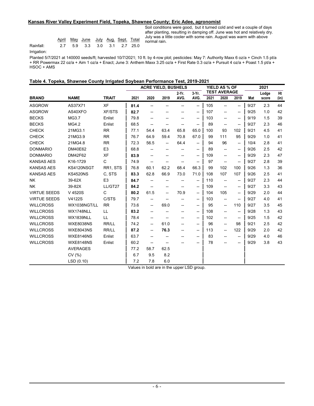#### **Kansas River Valley Experiment Field, Topeka, Shawnee County; Eric Adee, agronomist**

|           |  | April May June July Aug Sept Total |  |  |  |
|-----------|--|------------------------------------|--|--|--|
| Rainfall: |  | 2.7 5.9 3.3 3.0 3.1 2.7 25.0       |  |  |  |

Soil conditions were good, but it turned cold and wet a couple of days after planting, resulting in damping off. June was hot and relatively dry. July was a little cooler with some rain. August was warm with above normal rain.

Irrigation:

Planted 5/7/2021 at 140000 seeds/ft; harvested 10/7/2021; 10 ft. by 4-row plot; pesticides: May 7: Authority Maxx 6 oz/a + Cinch 1.5 pt/a + RR Powermax 22 oz/a + Aim 1 oz/a + Enact; June 3: Anthem Maxx 3.25 oz/a + First Rate 0.3 oz/a + Pursuit 4 oz/a + Poast 1.5 pt/a + HSOC + AMS

|  | Table 4. Topeka, Shawnee County Irrigated Soybean Performance Test, 2019-2021 |  |  |
|--|-------------------------------------------------------------------------------|--|--|
|  |                                                                               |  |  |

|                     |                  |                | <b>ACRE YIELD, BUSHELS</b> |      |      |          |                          | YIELD AS % OF |                          | 2021                     |      |       |      |
|---------------------|------------------|----------------|----------------------------|------|------|----------|--------------------------|---------------|--------------------------|--------------------------|------|-------|------|
|                     |                  |                |                            |      |      | $2-Yr$ . | $3-Yr$ .                 |               | <b>TEST AVERAGE</b>      |                          |      | Lodge | Ht   |
| <b>BRAND</b>        | <b>NAME</b>      | <b>TRAIT</b>   | 2021                       | 2020 | 2019 | AVG.     | AVG.                     | 2021          | 2020                     | 2019                     | Mat  | score | (in) |
| <b>ASGROW</b>       | AS37X71          | <b>XF</b>      | 81.4                       | --   | --   | --       | $\overline{\phantom{a}}$ | 105           | $\overline{\phantom{a}}$ | $\overline{\phantom{0}}$ | 9/27 | 2.3   | 44   |
| <b>ASGROW</b>       | AS40XFO          | <b>XF/STS</b>  | 82.7                       | --   | -−   |          | $\overline{\phantom{a}}$ | 107           | --                       | $\overline{\phantom{a}}$ | 9/25 | 1.0   | 42   |
| <b>BECKS</b>        | MG3.7            | Enlist         | 79.8                       | --   |      |          | $\overline{\phantom{a}}$ | 103           | $\overline{\phantom{a}}$ | $\overline{\phantom{a}}$ | 9/19 | 1.5   | 39   |
| <b>BECKS</b>        | MG4.2            | Enlist         | 68.5                       | --   | −−   | −−       | $\overline{\phantom{a}}$ | 89            | $\overline{\phantom{a}}$ | $\overline{\phantom{a}}$ | 9/27 | 2.3   | 46   |
| <b>CHECK</b>        | 21MG3.1          | <b>RR</b>      | 77.1                       | 54.4 | 63.4 | 65.8     | 65.0                     | 100           | 93                       | 102                      | 9/21 | 4.5   | 41   |
| <b>CHECK</b>        | 21MG3.9          | <b>RR</b>      | 76.7                       | 64.9 | 59.4 | 70.8     | 67.0                     | 99            | 111                      | 95                       | 9/29 | 1.0   | 41   |
| <b>CHECK</b>        | 21MG4.8          | <b>RR</b>      | 72.3                       | 56.5 | --   | 64.4     | $\overline{\phantom{a}}$ | 94            | 96                       | $\overline{\phantom{a}}$ | 10/4 | 2.8   | 41   |
| <b>DONMARIO</b>     | DM40E62          | E <sub>3</sub> | 68.8                       | --   | −−   |          | $\overline{\phantom{a}}$ | 89            | $\overline{\phantom{a}}$ | $\overline{\phantom{a}}$ | 9/26 | 2.5   | 42   |
| <b>DONMARIO</b>     | DM42F62          | <b>XF</b>      | 83.9                       | --   | --   |          | $\overline{\phantom{a}}$ | 109           | $\overline{\phantom{a}}$ | $\overline{\phantom{a}}$ | 9/29 | 2.3   | 47   |
| <b>KANSAS AES</b>   | K16-1729         | C              | 74.9                       | --   |      | --       | $\overline{\phantom{a}}$ | 97            | $\overline{\phantom{a}}$ | $\overline{\phantom{a}}$ | 9/27 | 2.8   | 39   |
| <b>KANSAS AES</b>   | KS4120NSGT       | RR1, STS       | 76.8                       | 60.1 | 62.2 | 68.4     | 66.3                     | 99            | 102                      | 100                      | 9/26 | 1.3   | 36   |
| <b>KANSAS AES</b>   | <b>KS4520NS</b>  | C, STS         | 83.3                       | 62.8 | 66.9 | 73.0     | 71.0                     | 108           | 107                      | 107                      | 9/26 | 2.5   | 41   |
| <b>NK</b>           | 39-62X           | E <sub>3</sub> | 84.7                       | --   | −−   |          | $\overline{\phantom{a}}$ | 110           | $\overline{\phantom{a}}$ | $\overline{\phantom{a}}$ | 9/27 | 2.3   | 44   |
| <b>NK</b>           | 39-82X           | LL/GT27        | 84.2                       | --   | --   | --       | $\overline{\phantom{a}}$ | 109           | $\overline{\phantom{a}}$ | $\overline{\phantom{a}}$ | 9/27 | 3.3   | 43   |
| <b>VIRTUE SEEDS</b> | V 4520S          | $\mathsf{C}$   | 80.2                       | 61.5 | --   | 70.9     | --                       | 104           | 105                      | --                       | 9/29 | 2.0   | 44   |
| <b>VIRTUE SEEDS</b> | V4122S           | C/STS          | 79.7                       | --   | --   | --       | $\overline{\phantom{a}}$ | 103           | $\overline{\phantom{a}}$ | $\overline{\phantom{a}}$ | 9/27 | 4.0   | 41   |
| <b>WILLCROSS</b>    | WX1038NGT/LL     | <b>RR</b>      | 73.6                       | --   | 69.0 | --       | $\overline{\phantom{a}}$ | 95            | $\overline{\phantom{a}}$ | 110                      | 9/27 | 3.5   | 45   |
| <b>WILLCROSS</b>    | WX1748NLL        | LL             | 83.2                       | --   |      |          | $\overline{\phantom{a}}$ | 108           | $\overline{\phantom{a}}$ | $\overline{\phantom{a}}$ | 9/28 | 1.3   | 43   |
| <b>WILLCROSS</b>    | <b>WX1839NLL</b> | LL             | 78.4                       | --   | −−   | −−       | $\overline{\phantom{a}}$ | 102           | $\overline{\phantom{a}}$ | $\overline{\phantom{a}}$ | 9/25 | 1.5   | 42   |
| <b>WILLCROSS</b>    | <b>WXE8038NS</b> | RR/LL          | 74.2                       | --   | 61.0 | −−       | $\overline{\phantom{a}}$ | 96            | $\overline{\phantom{a}}$ | 98                       | 9/21 | 2.5   | 42   |
| <b>WILLCROSS</b>    | <b>WXE8043NS</b> | RR/LL          | 87.2                       | −−   | 76.3 | −−       | $\overline{\phantom{a}}$ | 113           | $\overline{\phantom{a}}$ | 122                      | 9/29 | 2.0   | 42   |
| <b>WILLCROSS</b>    | <b>WXE8146NS</b> | Enlist         | 63.7                       | --   |      |          | --                       | 83            | --                       | --                       | 9/29 | 4.0   | 46   |
| <b>WILLCROSS</b>    | <b>WXE8148NS</b> | Enlist         | 60.2                       | --   | --   |          | --                       | 78            | --                       | --                       | 9/29 | 3.8   | 43   |
|                     | <b>AVERAGES</b>  |                | 77.2                       | 58.7 | 62.5 |          |                          |               |                          |                          |      |       |      |
|                     | CV(%)            |                | 6.7                        | 9.5  | 8.2  |          |                          |               |                          |                          |      |       |      |
|                     | LSD(0.10)        |                | 7.2                        | 7.8  | 6.0  |          |                          |               |                          |                          |      |       |      |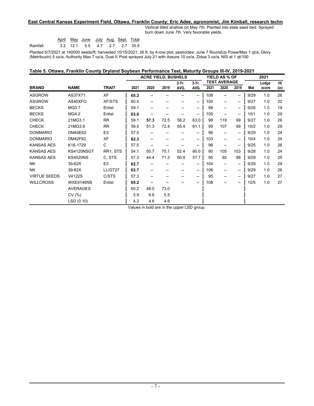#### **East Central Kansas Experiment Field, Ottawa, Franklin County; Eric Adee, agronomist; Jim Kimball, research techn**

Vertical tilled shallow on May 7th. Planted into stale seed bed. Sprayed burn down June 7th. Very favorable yields.

|           |  | <u>April May June July Aug Sept. Total</u> |  |  |
|-----------|--|--------------------------------------------|--|--|
| Rainfall: |  | 3.2 12.1 5.5 4.7 2.7 2.7 35.5              |  |  |

Planted 6/7/2021 at 140000 seeds/ft; harvested 10/15/2021; 26 ft. by 4-row plot; pesticides: June 7 RoundUp PowerMax 1 qt/a, Glory (Metribuzin) 5 oz/a, Authority Max 7 oz/a, Dual ll; Post sprayed July 21 with Assure 10 oz/a, Zidua 3 oz/a, NIS at 1 qt/100

| Table 5. Ottawa, Franklin County Dryland Soybean Performance Test, Maturity Groups III-IV, 2019-2021 |  |  |
|------------------------------------------------------------------------------------------------------|--|--|
|                                                                                                      |  |  |

|                     |                  |                | <b>ACRE YIELD, BUSHELS</b> |      |      |          |          | <b>YIELD AS % OF</b> |                          | 2021                     |      |       |      |
|---------------------|------------------|----------------|----------------------------|------|------|----------|----------|----------------------|--------------------------|--------------------------|------|-------|------|
|                     |                  |                |                            |      |      | $2-Yr$ . | $3-Yr$ . |                      | <b>TEST AVERAGE</b>      |                          |      | Lodge | Ht   |
| <b>BRAND</b>        | <b>NAME</b>      | <b>TRAIT</b>   | 2021                       | 2020 | 2019 | AVG.     | AVG.     | 2021                 | 2020                     | 2019                     | Mat  | score | (in) |
| <b>ASGROW</b>       | AS37X71          | <b>XF</b>      | 65.2                       |      |      |          | --       | 108                  | $\overline{\phantom{a}}$ | $\overline{\phantom{a}}$ | 9/29 | 1.0   | 26   |
| <b>ASGROW</b>       | AS40XFO          | <b>XF/STS</b>  | 60.0                       | --   | --   |          | --       | 100                  | $\overline{\phantom{a}}$ | $\overline{\phantom{a}}$ | 9/27 | 1.0   | 22   |
| <b>BECKS</b>        | MG3.7            | Enlist         | 59.1                       | --   |      |          | --       | 98                   | $\overline{\phantom{a}}$ | --                       | 9/26 | 1.0   | 19   |
| <b>BECKS</b>        | MG4.2            | Enlist         | 63.0                       | --   | --   |          | --       | 105                  | $\overline{\phantom{a}}$ | $\overline{\phantom{a}}$ | 10/1 | 1.0   | 29   |
| <b>CHECK</b>        | 21MG3.1          | <b>RR</b>      | 59.1                       | 57.3 | 72.5 | 58.2     | 63.0     | 98                   | 119                      | 99                       | 9/27 | 1.0   | 26   |
| <b>CHECK</b>        | 21MG3.9          | <b>RR</b>      | 59.5                       | 51.3 | 72.4 | 55.4     | 61.1     | 99                   | 107                      | 99                       | 10/2 | 1.0   | 29   |
| <b>DONMARIO</b>     | <b>DM40E62</b>   | E <sub>3</sub> | 57.5                       |      |      |          | --       | 96                   | --                       | --                       | 9/29 | 1.0   | 24   |
| <b>DONMARIO</b>     | DM42F62          | XF             | 62.3                       | --   | --   |          | --       | 103                  | --                       | --                       | 10/4 | 1.0   | 24   |
| <b>KANSAS AES</b>   | K16-1729         | C              | 57.5                       | --   |      |          | --       | 96                   | --                       | $\overline{\phantom{a}}$ | 9/25 | 1.0   | 26   |
| <b>KANSAS AES</b>   | KS4120NSGT       | RR1, STS       | 54.1                       | 50.7 | 75.1 | 52.4     | 60.0     | 90                   | 105                      | 103                      | 9/28 | 1.0   | 24   |
| <b>KANSAS AES</b>   | <b>KS4520NS</b>  | C, STS         | 57.3                       | 44.4 | 71.3 | 50.9     | 57.7     | 95                   | 92                       | 98                       | 9/29 | 1.0   | 25   |
| <b>NK</b>           | 39-62X           | E <sub>3</sub> | 62.7                       |      |      |          | --       | 104                  | $\overline{\phantom{a}}$ | --                       | 9/29 | 1.0   | 29   |
| <b>NK</b>           | 39-82X           | LL/GT27        | 63.7                       |      |      |          | --       | 106                  | $\overline{\phantom{a}}$ | $\overline{\phantom{a}}$ | 9/29 | 1.0   | 26   |
| <b>VIRTUE SEEDS</b> | V4122S           | C/STS          | 57.3                       |      |      |          | --       | 95                   | $\overline{\phantom{a}}$ | --                       | 9/27 | 1.0   | 27   |
| <b>WILLCROSS</b>    | <b>WXE8146NS</b> | Enlist         | 65.2                       |      |      |          | --       | 108                  | --                       | --                       | 10/5 | 1.0   | 27   |
|                     | <b>AVERAGES</b>  |                | 60.2                       | 48.0 | 73.0 |          |          |                      |                          |                          |      |       |      |
|                     | CV(%)            |                | 5.9                        | 6.8  | 5.5  |          |          |                      |                          |                          |      |       |      |
|                     | LSD (0.10)       |                | 4.2                        | 4.6  | 4.6  | $\sim$   |          |                      |                          |                          |      |       |      |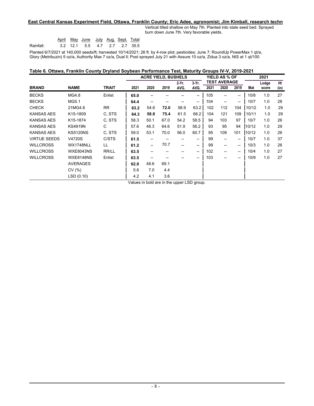#### **East Central Kansas Experiment Field, Ottawa, Franklin County; Eric Adee, agronomist; Jim Kimball, research techn**

Vertical tilled shallow on May 7th. Planted into stale seed bed. Sprayed burn down June 7th. Very favorable yields.

|           |  | <u>April May June July Aug. Sept. Total</u> |  |  |
|-----------|--|---------------------------------------------|--|--|
| Rainfall: |  | 3.2 12.1 5.5 4.7 2.7 2.7 35.5               |  |  |

Planted 6/7/2021 at 140,000 seeds/ft; harvested 10/14/2021; 26 ft. by 4-row plot; pesticides: June 7: RoundUp PowerMax 1 qt/a, Glory (Metribuzin) 5 oz/a, Authority Max 7 oz/a, Dual ll; Post sprayed July 21 with Assure 10 oz/a, Zidua 3 oz/a, NIS at 1 qt/100

| Table 6. Ottawa, Franklin County Dryland Soybean Performance Test, Maturity Groups IV-V, 2019-2021 |  |  |
|----------------------------------------------------------------------------------------------------|--|--|
|                                                                                                    |  |  |

|                   |                  |              | <b>ACRE YIELD, BUSHELS</b> |      |                     |               |      | YIELD AS % OF |       |      | 2021  |       |      |
|-------------------|------------------|--------------|----------------------------|------|---------------------|---------------|------|---------------|-------|------|-------|-------|------|
|                   |                  |              | $3-Yr$ .<br>2-Yr.          |      | <b>TEST AVERAGE</b> |               |      |               | Lodge | Ht   |       |       |      |
| <b>BRAND</b>      | <b>NAME</b>      | <b>TRAIT</b> | 2021                       | 2020 | 2019                | AVG.          | AVG. | 2021          | 2020  | 2019 | Mat   | score | (in) |
| <b>BECKS</b>      | MG4.8            | Enlist       | 65.0                       |      |                     |               | --   | 105           | --    | --   | 10/8  | 1.0   | 27   |
| <b>BECKS</b>      | MG5.1            |              | 64.4                       | --   |                     |               | --   | 104           | --    | --   | 10/7  | 1.0   | 28   |
| <b>CHECK</b>      | 21MG4.8          | <b>RR</b>    | 63.2                       | 54.6 | 72.0                | 58.9          | 63.2 | 102           | 112   | 104  | 10/12 | 1.0   | 29   |
| <b>KANSAS AES</b> | K15-1809         | C. STS       | 64.3                       | 58.8 | 75.4                | 61.5          | 66.2 | 104           | 121   | 109  | 10/11 | 1.0   | 29   |
| <b>KANSAS AES</b> | K15-1874         | C, STS       | 58.3                       | 50.1 | 67.0                | 54.2          | 58.5 | 94            | 103   | 97   | 10/7  | 1.0   | 26   |
| <b>KANSAS AES</b> | <b>KS4919N</b>   | С            | 57.6                       | 46.3 | 64.6                | 51.9          | 56.2 | 93            | 95    | 94   | 10/12 | 1.0   | 29   |
| <b>KANSAS AES</b> | <b>KS5120NS</b>  | C, STS       | 59.0                       | 53.1 | 70.0                | 56.0          | 60.7 | 95            | 109   | 101  | 10/12 | 1.0   | 26   |
| VIRTUE SEEDS      | V4720S           | C/STS        | 61.5                       |      |                     |               | --   | 99            | --    | --   | 10/7  | 1.0   | 37   |
| <b>WILLCROSS</b>  | WX1748NLL        | LL           | 61.2                       | --   | 70.7                | --            | --   | 99            | --    | --   | 10/3  | 1.0   | 26   |
| <b>WILLCROSS</b>  | <b>WXE8043NS</b> | RR/LL        | 63.5                       |      |                     |               | --   | 102           | --    | --   | 10/4  | 1.0   | 27   |
| <b>WILLCROSS</b>  | <b>WXE8148NS</b> | Enlist       | 63.5                       | --   |                     |               | --   | 103           | --    | --   | 10/9  | 1.0   | 27   |
|                   | <b>AVERAGES</b>  |              | 62.0                       | 48.6 | 69.1                |               |      |               |       |      |       |       |      |
|                   | CV(%)            |              | 5.6                        | 7.0  | 4.4                 |               |      |               |       |      |       |       |      |
|                   | LSD(0.10)        |              | 4.2                        | 4.1  | 3.6                 |               |      |               |       |      |       |       |      |
|                   |                  |              | $\cdots$                   |      | $\sim$              | $\sim$ $\sim$ |      |               |       |      |       |       |      |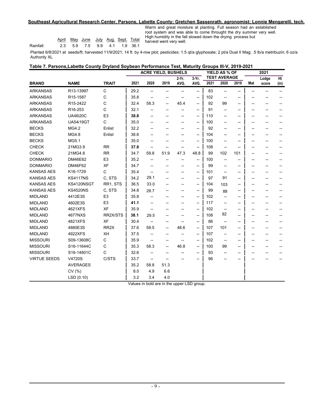#### **Southeast Agricultural Research Center, Parsons, Labette County; Gretchen Sassenrath, agronomist; Lonnie Mengarelli, tech.**

|           |                              | April May June July Aug Sept. Total |  |  |
|-----------|------------------------------|-------------------------------------|--|--|
| Rainfall: | 2.3 5.9 7.5 9.9 4.1 1.9 36.1 |                                     |  |  |

Warm and great moisture at planting. Full season had an established root system and was able to come throught the dry summer very well. High humidity in the fall slowed down the drying process but harvest went very well.

Planted 6/8/2021 at seeds/ft; harvested 11/9/2021; 14 ft. by 4-row plot; pesticides: 1.5 qt/a glyphosate; 2 pt/a Dual II Mag; .5 lb/a metribuzin; 6 oz/a Authority XL

| Table 7. Parsons, Labette County Dryland Soybean Performance Test, Maturity Groups III-V, 2019-2021 |  |
|-----------------------------------------------------------------------------------------------------|--|
|-----------------------------------------------------------------------------------------------------|--|

|                     |                  |                   |      | <b>ACRE YIELD, BUSHELS</b> |      |                  |                  |      | YIELD AS % OF               |      |     | 2021  |      |
|---------------------|------------------|-------------------|------|----------------------------|------|------------------|------------------|------|-----------------------------|------|-----|-------|------|
| <b>BRAND</b>        | <b>NAME</b>      | <b>TRAIT</b>      | 2021 | 2020                       | 2019 | $2-Yr$ .<br>AVG. | $3-Yr$ .<br>AVG. | 2021 | <b>TEST AVERAGE</b><br>2020 | 2019 |     | Lodge | Ht   |
|                     |                  |                   |      |                            |      |                  |                  |      |                             |      | Mat | score | (in) |
| <b>ARKANSAS</b>     | R13-13997        | $\mathsf C$       | 29.2 | --                         | --   |                  | --               | 83   | --                          | --   | --  |       | $-$  |
| <b>ARKANSAS</b>     | R15-1587         | C                 | 35.8 |                            |      |                  | --               | 102  | --                          |      |     |       |      |
| <b>ARKANSAS</b>     | R15-2422         | C                 | 32.4 | 58.3                       | --   | 45.4             | --               | 92   | 99                          | --   | --  | --    |      |
| <b>ARKANSAS</b>     | R16-253          | C                 | 32.1 |                            | --   |                  | --               | 91   | --                          | --   | --  | --    |      |
| <b>ARKANSAS</b>     | <b>UA46i20C</b>  | E <sub>3</sub>    | 38.8 | --                         | --   | --               | --               | 110  | --                          | --   | --  | --    |      |
| <b>ARKANSAS</b>     | <b>UA54i19GT</b> | $\mathsf C$       | 35.0 | --                         |      |                  | --               | 100  | --                          | --   | --  | --    |      |
| <b>BECKS</b>        | MG4.2            | Enlist            | 32.2 | --                         |      |                  | --               | 92   | --                          | -−   | --  | --    |      |
| <b>BECKS</b>        | MG4.8            | Enlist            | 36.6 |                            |      |                  | --               | 104  |                             | --   | --  | --    |      |
| <b>BECKS</b>        | MG5.1            |                   | 35.0 | --                         |      | --               | --               | 100  | --                          | --   | --  | --    |      |
| <b>CHECK</b>        | 21MG3.9          | <b>RR</b>         | 37.8 | --                         | --   | --               | --               | 108  | --                          | --   | --  |       |      |
| <b>CHECK</b>        | 21MG4.8          | <b>RR</b>         | 34.7 | 59.8                       | 51.9 | 47.3             | 48.8             | 99   | 102                         | 101  |     |       |      |
| <b>DONMARIO</b>     | DM46E62          | E <sub>3</sub>    | 35.2 | --                         |      |                  | --               | 100  | --                          | --   | --  |       |      |
| <b>DONMARIO</b>     | DM46F62          | <b>XF</b>         | 34.7 | --                         |      |                  | --               | 99   | --                          | --   | --  | --    |      |
| <b>KANSAS AES</b>   | K16-1729         | C                 | 35.4 | --                         |      | --               | --               | 101  | $\overline{\phantom{a}}$    | --   | --  | --    |      |
| <b>KANSAS AES</b>   | <b>KS4117NS</b>  | C, STS            | 34.2 | 29.1                       |      |                  | --               | 97   | 91                          | --   | --  | --    |      |
| <b>KANSAS AES</b>   | KS4120NSGT       | RR1, STS          | 36.5 | 33.0                       | --   | --               | --               | 104  | 103                         | --   | --  | --    |      |
| <b>KANSAS AES</b>   | <b>KS4520NS</b>  | C, STS            | 34.8 | 28.7                       |      |                  | --               | 99   | 88                          | --   | --  | --    |      |
| <b>MIDLAND</b>      | 4412E3S          | E <sub>3</sub>    | 35.8 | --                         |      |                  | --               | 102  | --                          | --   | --  | --    |      |
| <b>MIDLAND</b>      | 4602E3S          | E <sub>3</sub>    | 41.1 |                            |      |                  | --               | 117  | --                          | --   |     |       |      |
| <b>MIDLAND</b>      | 4621XFS          | <b>XF</b>         | 35.9 | --                         |      |                  | --               | 102  |                             | --   |     |       |      |
| <b>MIDLAND</b>      | 4677NXS          | RR2X/STS          | 38.1 | 29.5                       |      |                  | --               | 108  | 92                          | --   |     | --    |      |
| <b>MIDLAND</b>      | 4821XFS          | <b>XF</b>         | 30.4 |                            | --   |                  | --               | 86   | $\overline{\phantom{a}}$    | --   | --  | --    |      |
| <b>MIDLAND</b>      | 4880E3S          | RR <sub>2</sub> X | 37.6 | 59.5                       | --   | 48.6             | --               | 107  | 101                         | --   | --  | --    |      |
| <b>MIDLAND</b>      | 4922XFS          | XH                | 37.5 | --                         | --   |                  | --               | 107  | --                          | --   | --  | --    |      |
| <b>MISSOURI</b>     | S09-13608C       | $\mathsf C$       | 35.9 | --                         | --   | --               | --               | 102  | $\overline{\phantom{a}}$    | --   | --  | --    |      |
| <b>MISSOURI</b>     | S16-11644C       | C                 | 35.3 | 58.3                       | --   | 46.8             | --               | 100  | 99                          | --   | --  | --    |      |
| <b>MISSOURI</b>     | S16-14801C       | C                 | 32.6 | --                         | --   |                  | --               | 93   | --                          | -−   | --  | --    |      |
| <b>VIRTUE SEEDS</b> | V4720S           | C/STS             | 33.7 | --                         |      |                  | --               | 96   |                             | --   |     |       |      |
|                     | <b>AVERAGES</b>  |                   | 35.2 | 58.8                       | 51.3 |                  |                  |      |                             |      |     |       |      |
|                     | CV(%)            |                   | 8.0  | 4.9                        | 6.6  |                  |                  |      |                             |      |     |       |      |
|                     | LSD (0.10)       |                   | 3.2  | 3.4                        | 4.0  |                  |                  |      |                             |      |     |       |      |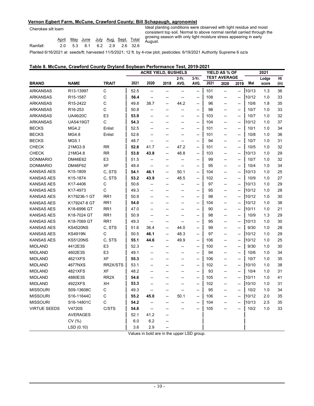#### **Vernon Egbert Farm, McCune, Crawford County; Bill Schapaugh, agronomist**

|           |  | <u>April May June July Aug Sept. Total</u> |  |  |  |
|-----------|--|--------------------------------------------|--|--|--|
| Rainfall: |  | 2.0 5.3 8.1 6.2 2.9 2.6 32.6               |  |  |  |
|           |  |                                            |  |  |  |

Ideal planting conditions were observed with light residue and moist consistent top soil. Normal to above normal rainfall carried through the growing season with only light moisture stress appearing in early August.

Planted 6/16/2021 at seeds/ft; harvested 11/5/2021; 12 ft. by 4-row plot; pesticides: 6/19/2021 Authority Supreme 6 oz/a

#### **Table 8. McCune, Crawford County Dryland Soybean Performance Test, 2019-2021**

|                     |                       |                   |      | <b>ACRE YIELD, BUSHELS</b> |                          |                |                                    |      | YIELD AS % OF            |                                    |       |       |      |
|---------------------|-----------------------|-------------------|------|----------------------------|--------------------------|----------------|------------------------------------|------|--------------------------|------------------------------------|-------|-------|------|
|                     |                       |                   |      |                            |                          | 2-Yr.          | 3-Yr.                              |      | <b>TEST AVERAGE</b>      |                                    |       | Lodge | Ht   |
| <b>BRAND</b>        | <b>NAME</b>           | <b>TRAIT</b>      | 2021 | 2020                       | 2019                     | AVG.           | AVG.                               | 2021 | 2020                     | 2019                               | Mat   | score | (in) |
| <b>ARKANSAS</b>     | R13-13997             | С                 | 52.5 | --                         | --                       | --             | --                                 | 101  | $\overline{\phantom{a}}$ | --                                 | 10/13 | 1.3   | 36   |
| <b>ARKANSAS</b>     | R <sub>15</sub> -1587 | C                 | 56.4 | --                         | --                       | --             | --                                 | 108  | --                       | $\overline{\phantom{a}}$           | 10/12 | 1.0   | 33   |
| <b>ARKANSAS</b>     | R15-2422              | С                 | 49.8 | 38.7                       | --                       | 44.2           | $\overline{\phantom{a}}$           | 96   | --                       | --                                 | 10/6  | 1.8   | 35   |
| <b>ARKANSAS</b>     | R <sub>16</sub> -253  | C                 | 50.8 | --                         | --                       | --             | --                                 | 98   | $\overline{\phantom{a}}$ | $\overline{\phantom{a}}$           | 10/7  | 1.0   | 33   |
| <b>ARKANSAS</b>     | <b>UA46i20C</b>       | E <sub>3</sub>    | 53.9 | --                         | --                       | --             | $\overline{\phantom{a}}$           | 103  | $\overline{\phantom{a}}$ | $\overline{\phantom{a}}$           | 10/7  | 1.0   | 32   |
| <b>ARKANSAS</b>     | UA54i19GT             | С                 | 54.3 | --                         | --                       | --             | --                                 | 104  | $\overline{\phantom{a}}$ | $\overline{\phantom{a}}$           | 10/12 | 1.0   | 37   |
| <b>BECKS</b>        | MG4.2                 | Enlist            | 52.5 | --                         | --                       | --             | --                                 | 101  | --                       | --                                 | 10/1  | 1.0   | 34   |
| <b>BECKS</b>        | MG4.8                 | Enlist            | 52.6 | --                         | --                       | --             | --                                 | 101  | $\overline{\phantom{a}}$ | $\overline{\phantom{a}}$           | 10/8  | 1.0   | 36   |
| <b>BECKS</b>        | MG5.1                 |                   | 48.7 | --                         | --                       | --             | --                                 | 94   | --                       | $\overline{\phantom{a}}$           | 10/7  | 1.0   | 31   |
| <b>CHECK</b>        | 21MG3.9               | <b>RR</b>         | 52.8 | 41.7                       | --                       | 47.2           | --                                 | 101  | --                       | $\overline{\phantom{a}}$           | 10/5  | 1.0   | 32   |
| <b>CHECK</b>        | 21MG4.8               | <b>RR</b>         | 53.8 | 43.8                       | $\overline{a}$           | 48.8           | $\overline{\phantom{a}}$           | 103  | $\overline{\phantom{a}}$ | $\overline{\phantom{a}}$           | 10/13 | 1.0   | 29   |
| <b>DONMARIO</b>     | DM46E62               | E <sub>3</sub>    | 51.5 | −−                         | $\overline{a}$           | --             | --                                 | 99   | $\overline{\phantom{a}}$ | $\overline{\phantom{a}}$           | 10/7  | 1.0   | 32   |
| <b>DONMARIO</b>     | DM46F62               | XF                | 49.4 | $\overline{\phantom{a}}$   | --                       | --             | --                                 | 95   | $\overline{\phantom{a}}$ | $\overline{\phantom{a}}$           | 10/4  | 1.0   | 34   |
| <b>KANSAS AES</b>   | K15-1809              | C, STS            | 54.1 | 46.1                       | --                       | 50.1           | $\overline{\phantom{a}}$           | 104  | --                       | $\overline{\phantom{a}}$           | 10/13 | 1.0   | 25   |
| KANSAS AES          | K15-1874              | C, STS            | 53.2 | 43.9                       | --                       | 48.5           | $\overline{\phantom{a}}$           | 102  | --                       | $\overline{\phantom{a}}$           | 10/9  | 1.0   | 27   |
| <b>KANSAS AES</b>   | K17-4406              | C                 | 50.6 | --                         | --                       | --             | --                                 | 97   | --                       | --                                 | 10/13 | 1.0   | 29   |
| <b>KANSAS AES</b>   | K17-4973              | С                 | 49.3 | --                         | --                       | --             | --                                 | 95   | $\overline{\phantom{a}}$ | --                                 | 10/12 | 1.0   | 28   |
| <b>KANSAS AES</b>   | K179236-1 GT          | RR <sub>1</sub>   | 50.9 | --                         | --                       | --             | $\overline{\phantom{a}}$           | 98   | $\overline{\phantom{a}}$ | $\overline{\phantom{a}}$           | 10/12 | 1.0   | 30   |
| <b>KANSAS AES</b>   | K179247-8 GT          | RR <sub>1</sub>   | 54.0 | --                         | --                       | --             | $\hspace{0.05cm} -\hspace{0.05cm}$ | 104  | $\overline{\phantom{a}}$ | $\hspace{0.05cm} -\hspace{0.05cm}$ | 10/12 | 1.0   | 38   |
| <b>KANSAS AES</b>   | K18-6996 GT           | RR <sub>1</sub>   | 47.0 | --                         | --                       | $\overline{a}$ | --                                 | 90   | $\overline{\phantom{a}}$ | $\overline{\phantom{a}}$           | 10/11 | 1.0   | 21   |
| <b>KANSAS AES</b>   | K18-7024 GT           | RR <sub>1</sub>   | 50.9 | --                         | --                       | --             | --                                 | 98   | --                       | --                                 | 10/9  | 1.3   | 29   |
| <b>KANSAS AES</b>   | K18-7069 GT           | RR <sub>1</sub>   | 49.3 | $\overline{\phantom{a}}$   | --                       | --             | --                                 | 95   | $\overline{\phantom{a}}$ | $\overline{\phantom{a}}$           | 10/13 | 1.0   | 30   |
| <b>KANSAS AES</b>   | <b>KS4520NS</b>       | C, STS            | 51.6 | 36.4                       | --                       | 44.0           | --                                 | 99   | --                       | --                                 | 9/30  | 1.0   | 28   |
| <b>KANSAS AES</b>   | <b>KS4919N</b>        | С                 | 50.5 | 46.1                       | --                       | 48.3           | --                                 | 97   | $\overline{\phantom{a}}$ | $\overline{\phantom{a}}$           | 10/12 | 1.0   | 29   |
| <b>KANSAS AES</b>   | <b>KS5120NS</b>       | C, STS            | 55.1 | 44.6                       | $\overline{\phantom{a}}$ | 49.9           | $\overline{\phantom{a}}$           | 106  | $\overline{\phantom{a}}$ | $\overline{\phantom{a}}$           | 10/12 | 1.0   | 25   |
| <b>MIDLAND</b>      | 4412E3S               | E <sub>3</sub>    | 52.3 | --                         | --                       | --             | --                                 | 100  | $\overline{\phantom{a}}$ | $\overline{\phantom{a}}$           | 9/30  | 1.0   | 30   |
| <b>MIDLAND</b>      | 4602E3S               | E <sub>3</sub>    | 49.1 | --                         | --                       | --             | --                                 | 94   | --                       | $\overline{\phantom{a}}$           | 10/6  | 1.0   | 34   |
| <b>MIDLAND</b>      | 4621XFS               | XF                | 55.3 | --                         | --                       | --             | --                                 | 106  | --                       | $\overline{\phantom{a}}$           | 10/7  | 1.0   | 35   |
| <b>MIDLAND</b>      | 4677NXS               | RR2X/STS          | 53.1 | --                         | --                       | --             | $\overline{\phantom{a}}$           | 102  | $\overline{\phantom{a}}$ | $\overline{\phantom{a}}$           | 10/10 | 1.0   | 38   |
| <b>MIDLAND</b>      | 4821XFS               | XF                | 48.2 | --                         | --                       | --             | $\overline{\phantom{a}}$           | 93   | $\overline{\phantom{a}}$ | $\overline{\phantom{a}}$           | 10/4  | 1.0   | 31   |
| <b>MIDLAND</b>      | 4880E3S               | RR <sub>2</sub> X | 54.6 | $\overline{\phantom{a}}$   | --                       | $\overline{a}$ | --                                 | 105  | --                       | $\overline{\phantom{a}}$           | 10/11 | 1.0   | 41   |
| <b>MIDLAND</b>      | 4922XFS               | XН                | 53.3 | --                         | --                       | --             | --                                 | 102  | --                       | --                                 | 10/10 | 1.0   | 31   |
| <b>MISSOURI</b>     | S09-13608C            | С                 | 49.3 | --                         | --                       | --             | --                                 | 95   | --                       | $\overline{\phantom{a}}$           | 10/2  | 1.0   | 34   |
| <b>MISSOURI</b>     | S16-11644C            | С                 | 55.2 | 45.0                       | --                       | 50.1           | --                                 | 106  | --                       | $\overline{a}$                     | 10/12 | 2.0   | 35   |
| <b>MISSOURI</b>     | S16-14801C            | С                 | 54.2 | --                         | --                       | --             | --                                 | 104  | --                       | --                                 | 10/13 | 2.5   | 35   |
| <b>VIRTUE SEEDS</b> | V4720S                | C/STS             | 54.8 | --                         | $\overline{a}$           |                | --                                 | 105  | $\overline{\phantom{a}}$ | --                                 | 10/2  | 1.0   | 33   |
|                     | <b>AVERAGES</b>       |                   | 52.1 | 41.2                       | --                       |                |                                    |      |                          |                                    |       |       |      |
|                     | CV(%)                 |                   | 6.0  | 6.2                        |                          |                |                                    |      |                          |                                    |       |       |      |
|                     | LSD(0.10)             |                   | 3.6  | 2.9                        | --                       |                |                                    |      |                          |                                    |       |       |      |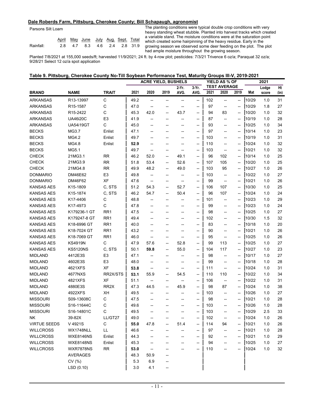#### **Dale Roberds Farm, Pittsburg, Cherokee County; Bill Schapaugh, agronomist**

Parsons Silt Loam

|           |  | <u>April May June July Aug Sept Total</u> |  |  |
|-----------|--|-------------------------------------------|--|--|
| Rainfall: |  | 2.8 4.7 8.3 4.6 2.4 2.8 31.9              |  |  |

The planting conditions were typical double crop conditions with very heavy standing wheat stubble. Planted into harvest tracks which created a variable stand. The moisture conditions were at the saturation point which created some hairpinning of the heavy residue. Early in the growing season we observed some deer feeding on the plot. The plot had ample moisture throughout the growing season.

Planted 7/8/2021 at 155,000 seeds/ft; harvested 11/9/2021; 24 ft. by 4-row plot; pesticides: 7/3/21 Trivence 6 oz/a; Paraquat 32 oz/a; 9/28/21 Select 12 oz/a spot application

#### **Table 9. Pittsburg, Cherokee County No-Till Soybean Performance Test, Maturity Groups III-V, 2019-2021**

|                     |                  |                   | <b>ACRE YIELD, BUSHELS</b> |                                    |      |       |                          | YIELD AS % OF |                                    | 2021                     |       |       |      |
|---------------------|------------------|-------------------|----------------------------|------------------------------------|------|-------|--------------------------|---------------|------------------------------------|--------------------------|-------|-------|------|
|                     |                  |                   |                            |                                    |      | 2-Yr. | $3-Yr$ .                 |               | <b>TEST AVERAGE</b>                |                          |       | Lodge | Ht   |
| <b>BRAND</b>        | <b>NAME</b>      | <b>TRAIT</b>      | 2021                       | 2020                               | 2019 | AVG.  | AVG.                     | 2021          | 2020                               | 2019                     | Mat   | score | (in) |
| <b>ARKANSAS</b>     | R13-13997        | C                 | 49.2                       | --                                 | --   | --    | --                       | 102           | --                                 | --                       | 10/29 | 1.0   | 31   |
| <b>ARKANSAS</b>     | R15-1587         | С                 | 47.0                       | --                                 | --   | --    | --                       | 97            | $\overline{\phantom{a}}$           | $\overline{\phantom{a}}$ | 10/29 | 1.8   | 27   |
| <b>ARKANSAS</b>     | R15-2422         | C                 | 45.3                       | 42.0                               | --   | 43.7  | --                       | 94            | 83                                 | $\overline{\phantom{a}}$ | 10/20 | 1.0   | 32   |
| <b>ARKANSAS</b>     | <b>UA46i20C</b>  | E <sub>3</sub>    | 41.9                       | --                                 | --   | --    | --                       | 87            | --                                 | --                       | 10/19 | 1.0   | 28   |
| <b>ARKANSAS</b>     | <b>UA54i19GT</b> | C                 | 45.0                       | --                                 | --   | --    | --                       | 93            | --                                 | --                       | 10/25 | 1.0   | 34   |
| <b>BECKS</b>        | MG3.7            | Enlist            | 47.1                       | --                                 | --   | --    | --                       | 97            | --                                 | --                       | 10/14 | 1.0   | 23   |
| <b>BECKS</b>        | MG4.2            | Enlist            | 49.7                       | --                                 | --   | --    | --                       | 103           | --                                 | --                       | 10/19 | 1.0   | 31   |
| <b>BECKS</b>        | MG4.8            | Enlist            | 52.9                       | --                                 | --   | --    | --                       | 110           | --                                 | --                       | 10/24 | 1.0   | 32   |
| <b>BECKS</b>        | MG5.1            |                   | 49.7                       | --                                 | --   | --    | --                       | 103           | $\overline{\phantom{a}}$           | --                       | 10/21 | 1.0   | 32   |
| <b>CHECK</b>        | 21MG3.1          | <b>RR</b>         | 46.2                       | 52.0                               | --   | 49.1  | --                       | 96            | 102                                | --                       | 10/14 | 1.0   | 25   |
| <b>CHECK</b>        | 21MG3.9          | <b>RR</b>         | 51.8                       | 53.4                               | --   | 52.6  | --                       | 107           | 105                                |                          | 10/20 | 1.0   | 25   |
| <b>CHECK</b>        | 21MG4.8          | <b>RR</b>         | 49.9                       | 48.2                               | --   | 49.0  | --                       | 103           | 95                                 | --                       | 10/27 | 1.0   | 26   |
| <b>DONMARIO</b>     | DM46E62          | E <sub>3</sub>    | 49.8                       | --                                 | --   | --    | --                       | 103           | $\overline{\phantom{a}}$           | --                       | 10/22 | 1.0   | 27   |
| <b>DONMARIO</b>     | DM46F62          | XF                | 47.6                       | --                                 | --   | --    | --                       | 99            | $\overline{\phantom{a}}$           | --                       | 10/21 | 1.0   | 26   |
| <b>KANSAS AES</b>   | K15-1809         | C, STS            | 51.2                       | 54.3                               | --   | 52.7  | $\overline{\phantom{a}}$ | 106           | 107                                | --                       | 10/30 | 1.0   | 25   |
| <b>KANSAS AES</b>   | K15-1874         | C, STS            | 46.2                       | 54.7                               | --   | 50.4  | $\overline{\phantom{a}}$ | 96            | 107                                | --                       | 10/24 | 1.0   | 24   |
| KANSAS AES          | K17-4406         | С                 | 48.8                       | --                                 | --   | --    | --                       | 101           | --                                 | --                       | 10/23 | 1.0   | 29   |
| KANSAS AES          | K17-4973         | С                 | 47.8                       | ⊷                                  | --   | --    | --                       | 99            | --                                 | --                       | 10/23 | 1.0   | 24   |
| KANSAS AES          | K179236-1 GT     | RR <sub>1</sub>   | 47.5                       |                                    |      | --    | --                       | 98            | --                                 | --                       | 10/25 | 1.0   | 27   |
| KANSAS AES          | K179247-8 GT     | RR <sub>1</sub>   | 49.4                       | --                                 |      | --    | --                       | 102           | --                                 | --                       | 10/30 | 1.5   | 32   |
| <b>KANSAS AES</b>   | K18-6996 GT      | RR <sub>1</sub>   | 40.0                       | --                                 | --   | --    | --                       | 83            | --                                 | --                       | 10/18 | 1.0   | 20   |
| <b>KANSAS AES</b>   | K18-7024 GT      | RR <sub>1</sub>   | 43.2                       | --                                 | --   | --    | --                       | 90            | --                                 | --                       | 10/21 | 1.0   | 26   |
| KANSAS AES          | K18-7069 GT      | RR <sub>1</sub>   | 46.0                       | --                                 | --   | --    | --                       | 95            | $\overline{\phantom{a}}$           | --                       | 10/25 | 1.0   | 26   |
| KANSAS AES          | <b>KS4919N</b>   | С                 | 47.9                       | 57.6                               | --   | 52.8  | --                       | 99            | 113                                | --                       | 10/25 | 1.0   | 27   |
| <b>KANSAS AES</b>   | <b>KS5120NS</b>  | C, STS            | 50.1                       | 59.8                               | --   | 55.0  | $\overline{\phantom{a}}$ | 104           | 117                                | --                       | 10/27 | 1.0   | 23   |
| <b>MIDLAND</b>      | 4412E3S          | E <sub>3</sub>    | 47.1                       | --                                 | --   | --    | --                       | 98            | --                                 | --                       | 10/17 | 1.0   | 27   |
| <b>MIDLAND</b>      | 4602E3S          | E <sub>3</sub>    | 48.0                       | --                                 | ⊷    | --    | --                       | 99            | --                                 | --                       | 10/18 | 1.0   | 28   |
| <b>MIDLAND</b>      | 4621XFS          | XF                | 53.8                       | --                                 | ⊷    | --    | --                       | 111           | $\hspace{0.05cm} -\hspace{0.05cm}$ | --                       | 10/24 | 1.0   | 31   |
| <b>MIDLAND</b>      | 4677NXS          | RR2X/STS          | 53.1                       | 55.9                               | --   | 54.5  | --                       | 110           | 110                                | --                       | 10/22 | 1.0   | 34   |
| <b>MIDLAND</b>      | 4821XFS          | XF                | 51.1                       | $\hspace{0.05cm} -\hspace{0.05cm}$ | --   | --    | --                       | 106           | $\overline{\phantom{a}}$           | --                       | 10/22 | 1.0   | 31   |
| <b>MIDLAND</b>      | 4880E3S          | RR <sub>2</sub> X | 47.3                       | 44.5                               | --   | 45.9  | $\overline{\phantom{a}}$ | 98            | 87                                 | --                       | 10/24 | 1.0   | 38   |
| <b>MIDLAND</b>      | 4922XFS          | XН                | 49.5                       | --                                 | --   | --    | --                       | 103           | --                                 | --                       | 10/26 | 1.0   | 27   |
| <b>MISSOURI</b>     | S09-13608C       | C                 | 47.5                       | --                                 | --   | --    | --                       | 98            | --                                 | --                       | 10/21 | 1.0   | 28   |
| <b>MISSOURI</b>     | S16-11644C       | С                 | 49.6                       | --                                 | --   | --    | --                       | 103           | --                                 | --                       | 10/26 | 1.0   | 28   |
| <b>MISSOURI</b>     | S16-14801C       | С                 | 49.5                       |                                    |      |       |                          | 103           |                                    |                          | 10/29 | 2.5   | 33   |
| <b>NK</b>           | 39-82X           | LL/GT27           | 49.0                       | --                                 |      |       | --                       | 102           | --                                 |                          | 10/24 | 1.0   | 26   |
| <b>VIRTUE SEEDS</b> | V 4921S          | C                 | 55.0                       | 47.8                               | --   | 51.4  | --                       | 114           | 94                                 | --                       | 10/21 | 1.0   | 26   |
| <b>WILLCROSS</b>    | WX1748NLL        | LL                | 46.6                       |                                    |      |       | --                       | 97            | --                                 | --                       | 10/21 | 1.0   | 28   |
| <b>WILLCROSS</b>    | <b>WXE8146NS</b> | Enlist            | 44.3                       |                                    |      |       |                          | 92            | --                                 |                          | 10/21 | 1.0   | 29   |
| <b>WILLCROSS</b>    | <b>WXE8148NS</b> | Enlist            | 45.3                       |                                    |      |       |                          | 94            |                                    |                          | 10/25 | 1.0   | 27   |
| <b>WILLCROSS</b>    | <b>WXR7878NS</b> | RR                | 53.0                       | --                                 |      |       |                          | 110           |                                    |                          | 10/24 | 1.0   | 32   |
|                     | <b>AVERAGES</b>  |                   | 48.3                       | 50.9                               |      |       |                          |               |                                    |                          |       |       |      |
|                     | CV(%)            |                   | 5.3                        | 6.9                                |      |       |                          |               |                                    |                          |       |       |      |
|                     | LSD (0.10)       |                   | 3.0                        | 4.1                                |      |       |                          |               |                                    |                          |       |       |      |
|                     |                  |                   |                            |                                    |      |       |                          |               |                                    |                          |       |       |      |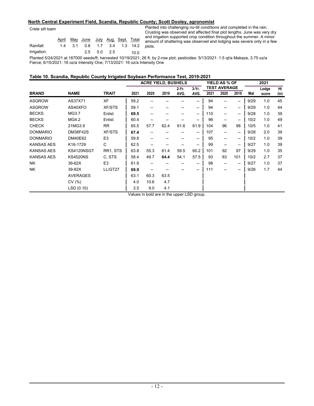#### **North Central Experiment Field, Scandia, Republic County; Scott Dooley, agronomist**

Crete silt loam

|             |  |             |  |      | and in<br>April May June July Aug Sept. Total amou |
|-------------|--|-------------|--|------|----------------------------------------------------|
| Rainfall:   |  |             |  |      | 1.4 3.1 0.8 1.7 3.4 1.3 14.2 plots.                |
| Irrigation: |  | 2.5 5.0 2.5 |  | 10.0 |                                                    |
|             |  |             |  |      |                                                    |

Planted into challenging no-till conditions and completed in the rain. Crusting was observed and affected final plot lengths. June was very dry and irrigation supported crop condition throughout the summer. A minor amount of shattering was observed and lodging was severe only in a few

Planted 5/24/2021 at 167000 seeds/ft; harvested 10/19/2021; 26 ft. by 2-row plot; pesticides: 5/13/2021: 1.5 qt/a Makaze, 3.75 oz/a Fierce; 6/15/2021: 16 oz/a Intensity One; 7/13/2021: 16 oz/a Intensity One

### **Table 10. Scandia, Republic County Irrigated Soybean Performance Test, 2019-2021**

|                   |                 |                |      |      | <b>ACRE YIELD, BUSHELS</b> |               |                   |      | <b>YIELD AS % OF</b>        |                          |      | 2021           |            |
|-------------------|-----------------|----------------|------|------|----------------------------|---------------|-------------------|------|-----------------------------|--------------------------|------|----------------|------------|
| <b>BRAND</b>      | <b>NAME</b>     | <b>TRAIT</b>   | 2021 | 2020 | 2019                       | 2-Yr.<br>AVG. | $3-Yr$ .<br>AVG.  | 2021 | <b>TEST AVERAGE</b><br>2020 | 2019                     | Mat  | Lodge<br>score | Ht<br>(in) |
| <b>ASGROW</b>     | AS37X71         | <b>XF</b>      | 59.2 |      |                            |               | --                | 94   | --                          | $\overline{\phantom{a}}$ | 9/29 | 1.0            | 45         |
| <b>ASGROW</b>     | AS40XFO         | <b>XF/STS</b>  | 59.1 |      |                            |               | --                | 94   | --                          | $\overline{\phantom{a}}$ | 9/29 | 1.0            | 44         |
| <b>BECKS</b>      | MG3.7           | Enlist         | 69.5 |      |                            |               | $- -$             | 110  | --                          | --                       | 9/28 | 1.0            | 39         |
| <b>BECKS</b>      | MG4.2           | Enlist         | 60.4 |      |                            |               | --                | 96   | --                          | $- -$                    | 10/2 | 1.0            | 49         |
| <b>CHECK</b>      | 21MG3.9         | <b>RR</b>      | 65.5 | 57.7 | 62.4                       | 61.6          | 61.9              | 104  | 96                          | 98                       | 10/5 | 1.0            | 41         |
| <b>DONMARIO</b>   | <b>DM38F42S</b> | <b>XF/STS</b>  | 67.4 |      |                            |               | $\hspace{0.05cm}$ | 107  | --                          | --                       | 9/28 | 2.0            | 39         |
| <b>DONMARIO</b>   | DM40E62         | E <sub>3</sub> | 59.8 | --   | --                         |               | $\hspace{0.05cm}$ | 95   | $\overline{\phantom{a}}$    | $\overline{\phantom{a}}$ | 10/2 | 1.0            | 39         |
| <b>KANSAS AES</b> | K16-1729        | C              | 62.5 | --   | --                         |               | --                | 99   | --                          | --                       | 9/27 | 1.0            | 39         |
| <b>KANSAS AES</b> | KS4120NSGT      | RR1, STS       | 63.8 | 55.3 | 61.4                       | 59.5          | 60.2              | 101  | 92                          | 97                       | 9/29 | 1.0            | 35         |
| <b>KANSAS AES</b> | <b>KS4520NS</b> | C. STS         | 58.4 | 49.7 | 64.4                       | 54.1          | 57.5              | 93   | 83                          | 101                      | 10/2 | 2.7            | 37         |
| <b>NK</b>         | 39-62X          | E <sub>3</sub> | 61.9 |      |                            |               | $\hspace{0.05cm}$ | 98   | --                          | $\hspace{0.05cm}$        | 9/27 | 1.0            | 37         |
| <b>NK</b>         | 39-82X          | LL/GT27        | 69.9 |      |                            |               | $\hspace{0.05cm}$ | 111  | $-$                         | --                       | 9/26 | 1.7            | 44         |
|                   | <b>AVERAGES</b> |                | 63.1 | 60.3 | 63.5                       |               |                   |      |                             |                          |      |                |            |
|                   | CV(%)           |                | 4.0  | 10.6 | 4.7                        |               |                   |      |                             |                          |      |                |            |
|                   | LSD (0.10)      |                | 3.5  | 9.0  | 4.1                        |               |                   |      |                             |                          |      |                |            |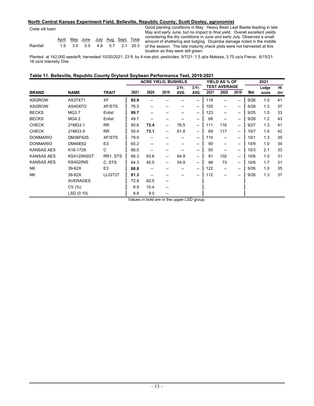#### **North Central Kansas Experiment Field, Belleville, Republic County; Scott Dooley, agronomist**

Crete silt loam

|           |  | April May June July Aug Sept Total |  |  |
|-----------|--|------------------------------------|--|--|
| Rainfall: |  | 1.5 3.5 0.5 4.8 5.7 2.1 20.3       |  |  |

Good planting conditions in May. Heavy Bean Leaf Beetle feeding in late May and early June, but no impact to final yield. Overall excellent yields considering the dry conditions in June and early July. Observed a small amount of shattering and lodging. Dicamba damage noted in the middle of the season. The late maturity check plots were not harvested at this location as they were still green.

Planted at 142,000 seeds/ft; harvested 10/20/2021; 23 ft. by 4-row plot; pesticides: 5/7/21: 1.5 qt/a Makaze, 3.75 oz/a Fierce; 6/15/21: 16 oz/a Intensity One

#### **Table 11. Belleville, Republic County Dryland Soybean Performance Test, 2019-2021**

|                   |                 |                |                  | <b>ACRE YIELD, BUSHELS</b> |      |                |               |      | <b>YIELD AS % OF</b>        |                          |      | 2021           |            |
|-------------------|-----------------|----------------|------------------|----------------------------|------|----------------|---------------|------|-----------------------------|--------------------------|------|----------------|------------|
| <b>BRAND</b>      | <b>NAME</b>     | <b>TRAIT</b>   | 2021             | 2020                       | 2019 | $2-Yr$<br>AVG. | 3-Yr.<br>AVG. | 2021 | <b>TEST AVERAGE</b><br>2020 | 2019                     | Mat  | Lodge<br>score | Ht<br>(in) |
|                   |                 |                |                  |                            |      |                |               |      |                             |                          |      |                |            |
| <b>ASGROW</b>     | AS37X71         | <b>XF</b>      | 85.9             |                            |      |                | --            | 118  |                             | --                       | 9/26 | 1.0            | 41         |
| <b>ASGROW</b>     | AS40XFO         | <b>XF/STS</b>  | 76.5             | --                         |      |                | --            | 105  | --                          | --                       | 9/28 | 1.3            | 37         |
| <b>BECKS</b>      | MG3.7           | Enlist         | 89.7             |                            |      |                | --            | 123  | --                          | --                       | 9/25 | 1.0            | 33         |
| <b>BECKS</b>      | MG4.2           | Enlist         | 49.7             |                            | --   |                | --            | 68   | --                          | --                       | 9/28 | 1.2            | 43         |
| <b>CHECK</b>      | 21MG3.1         | <b>RR</b>      | 80.6             | 72.4                       | --   | 76.5           | --            | 111  | 116                         | --                       | 9/27 | 1.3            | 41         |
| <b>CHECK</b>      | 21MG3.9         | <b>RR</b>      | 50.4             | 73.1                       | --   | 61.8           | --            | 69   | 117                         | $\overline{\phantom{a}}$ | 10/7 | 1.0            | 42         |
| <b>DONMARIO</b>   | <b>DM36F62S</b> | <b>XF/STS</b>  | 79.9             | --                         |      |                | --            | 110  | --                          | --                       | 10/1 | 1.3            | 39         |
| <b>DONMARIO</b>   | DM40E62         | E <sub>3</sub> | 65.2             | $\hspace{0.05cm}$          | --   |                | --            | 90   | --                          | --                       | 10/9 | 1.0            | 34         |
| <b>KANSAS AES</b> | K16-1729        | C              | 68.0             | $\hspace{0.05cm}$          | --   |                | --            | 93   | $\overline{\phantom{a}}$    | --                       | 10/3 | 2.1            | 33         |
| <b>KANSAS AES</b> | KS4120NSGT      | RR1, STS       | 66.3             | 63.6                       | --   | 64.9           | --            | 91   | 102                         | --                       | 10/6 | 1.0            | 31         |
| <b>KANSAS AES</b> | <b>KS4520NS</b> | C. STS         | 64.3             | 45.5                       | --   | 54.9           | --            | 88   | 73                          | $\overline{\phantom{a}}$ | 10/6 | 1.7            | 31         |
| <b>NK</b>         | 39-62X          | E <sub>3</sub> | 88.8             |                            |      |                | --            | 122  | --                          | --                       | 9/26 | 1.0            | 35         |
| <b>NK</b>         | 39-82X          | LL/GT27        | 81.3             |                            |      |                |               | 112  |                             |                          | 9/26 | 1.3            | 37         |
|                   | <b>AVERAGES</b> |                | 72.8             | 62.5                       | --   |                |               |      |                             |                          |      |                |            |
|                   | CV(% )          |                | 8.9              | 10.4                       | --   |                |               |      |                             |                          |      |                |            |
|                   | LSD(0.10)       |                | 8.8<br>$\cdot$ . | 9.0                        |      | $\sim$ $\sim$  |               |      |                             |                          |      |                |            |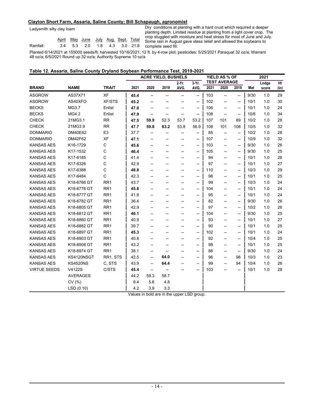#### **Clayton Short Farm, Assaria, Saline County; Bill Schapaugh, agronomist**

Ladysmith silty clay loam

|           |  | April May June July Aug Sept Total |  |  |  |
|-----------|--|------------------------------------|--|--|--|
| Rainfall: |  | 3.4 5.3 2.0 1.8 4.3 3.0 21.8       |  |  |  |

Dry conditions at planting with a hard crust which required a deeper planting depth. Limited residue at planting from a light cover crop. The crop stuggled with moisture and heat stress for most of June and July. Some rain in August gave stess relief and allowed the soybeans to complete seed fill.

Planted 6/14/2021 at 155000 seeds/ft; harvested 10/16/2021; 12 ft. by 4-row plot; pesticides: 5/25/2021 Paraquat 32 oz/a; Warrant 48 oz/a; 6/5/2021 Round up 32 oz/a; Authority Supreme 10 oz/a

#### **Table 12. Assaria, Saline County Dryland Soybean Performance Test, 2019-2021**

|                     |                 |                 |      | <b>ACRE YIELD, BUSHELS</b> |      |          |                          |      | YIELD AS % OF            |                          |      | 2021  |      |
|---------------------|-----------------|-----------------|------|----------------------------|------|----------|--------------------------|------|--------------------------|--------------------------|------|-------|------|
|                     |                 |                 |      |                            |      | $2-Yr$ . | $3-Yr$ .                 |      | <b>TEST AVERAGE</b>      |                          |      | Lodge | Ht   |
| <b>BRAND</b>        | <b>NAME</b>     | <b>TRAIT</b>    | 2021 | 2020                       | 2019 | AVG.     | AVG.                     | 2021 | 2020                     | 2019                     | Mat  | score | (in) |
| <b>ASGROW</b>       | AS37X71         | <b>XF</b>       | 45.4 | --                         | --   | --       | --                       | 103  | $\overline{\phantom{a}}$ | $\overline{\phantom{a}}$ | 9/30 | 1.0   | 29   |
| <b>ASGROW</b>       | AS40XFO         | <b>XF/STS</b>   | 45.2 |                            | --   | --       | $\overline{\phantom{a}}$ | 102  | $\overline{\phantom{a}}$ | $\overline{\phantom{a}}$ | 10/1 | 1.0   | 30   |
| <b>BECKS</b>        | MG3.7           | Enlist          | 47.0 | --                         | --   | --       | $\overline{\phantom{a}}$ | 106  | --                       | $\overline{\phantom{a}}$ | 10/1 | 1.0   | 24   |
| <b>BECKS</b>        | MG4.2           | Enlist          | 47.9 | --                         | --   | --       | $\overline{\phantom{a}}$ | 108  | $\overline{\phantom{a}}$ | $\overline{\phantom{a}}$ | 10/6 | 1.0   | 34   |
| <b>CHECK</b>        | 21MG3.1         | <b>RR</b>       | 47.5 | 59.9                       | 52.3 | 53.7     | 53.2                     | 107  | 101                      | 89                       | 10/2 | 1.0   | 28   |
| <b>CHECK</b>        | 21MG3.9         | <b>RR</b>       | 47.7 | 59.8                       | 63.2 | 53.8     | 56.9                     | 108  | 101                      | 108                      | 10/5 | 1.0   | 32   |
| <b>DONMARIO</b>     | DM40E62         | E <sub>3</sub>  | 37.7 | --                         |      |          | $\overline{\phantom{a}}$ | 85   | --                       | $\overline{\phantom{a}}$ | 10/2 | 1.0   | 28   |
| <b>DONMARIO</b>     | DM42F62         | <b>XF</b>       | 47.1 | --                         | --   | --       | --                       | 107  | --                       | $\hspace{0.05cm}$        | 10/9 | 1.0   | 32   |
| <b>KANSAS AES</b>   | K16-1729        | C               | 45.6 |                            | --   |          | --                       | 103  | --                       | $\overline{\phantom{a}}$ | 9/30 | 1.0   | 26   |
| <b>KANSAS AES</b>   | K17-1532        | С               | 46.4 | --                         | --   | --       | --                       | 105  | $\overline{\phantom{a}}$ | $\overline{\phantom{a}}$ | 9/30 | 1.0   | 25   |
| <b>KANSAS AES</b>   | K17-6185        | C               | 41.4 |                            | --   |          | --                       | 94   |                          | --                       | 10/1 | 1.0   | 26   |
| <b>KANSAS AES</b>   | K17-6326        | C               | 42.9 | --                         | --   |          | $\overline{\phantom{a}}$ | 97   | $\overline{a}$           | $\overline{\phantom{a}}$ | 10/1 | 1.0   | 27   |
| <b>KANSAS AES</b>   | K17-6388        | C               | 48.8 |                            |      |          | --                       | 110  | $\overline{\phantom{0}}$ | $\overline{\phantom{a}}$ | 10/3 | 1.0   | 29   |
| <b>KANSAS AES</b>   | K17-6484        | C               | 42.3 | --                         |      |          | --                       | 96   | --                       | $\overline{\phantom{a}}$ | 10/1 | 1.0   | 25   |
| <b>KANSAS AES</b>   | K18-6766 GT     | RR <sub>1</sub> | 43.7 |                            |      |          | --                       | 99   | $\overline{\phantom{a}}$ | $\overline{\phantom{a}}$ | 10/3 | 1.0   | 24   |
| <b>KANSAS AES</b>   | K18-6776 GT     | RR <sub>1</sub> | 45.8 | --                         |      | --       | --                       | 104  | $\overline{\phantom{a}}$ | $\overline{\phantom{a}}$ | 10/1 | 1.0   | 24   |
| <b>KANSAS AES</b>   | K18-6777 GT     | RR <sub>1</sub> | 41.8 | --                         |      | --       | --                       | 95   | --                       | $\overline{\phantom{a}}$ | 10/1 | 1.0   | 24   |
| <b>KANSAS AES</b>   | K18-6782 GT     | RR <sub>1</sub> | 36.4 | --                         | --   | --       | $\overline{\phantom{a}}$ | 82   | $\overline{\phantom{0}}$ | $\overline{\phantom{a}}$ | 9/30 | 1.0   | 26   |
| <b>KANSAS AES</b>   | K18-6805 GT     | RR <sub>1</sub> | 42.9 |                            |      |          | --                       | 97   | $\overline{\phantom{a}}$ | $\overline{\phantom{a}}$ | 10/2 | 1.0   | 26   |
| <b>KANSAS AES</b>   | K18-6812 GT     | RR <sub>1</sub> | 46.1 | --                         | --   | --       | $\overline{\phantom{a}}$ | 104  | $\overline{\phantom{0}}$ | $\overline{\phantom{a}}$ | 9/30 | 1.0   | 25   |
| <b>KANSAS AES</b>   | K18-6860 GT     | RR <sub>1</sub> | 40.9 | --                         | --   |          | --                       | 93   | $\overline{\phantom{a}}$ | $\overline{\phantom{a}}$ | 10/1 | 1.0   | 27   |
| <b>KANSAS AES</b>   | K18-6882 GT     | RR <sub>1</sub> | 39.7 | --                         | --   | --       | $\overline{\phantom{a}}$ | 90   | $\overline{\phantom{a}}$ | $\overline{\phantom{a}}$ | 10/1 | 1.0   | 25   |
| <b>KANSAS AES</b>   | K18-6897 GT     | RR <sub>1</sub> | 45.3 | --                         | --   |          | --                       | 102  | --                       | $\overline{\phantom{a}}$ | 10/1 | 1.0   | 24   |
| <b>KANSAS AES</b>   | K18-6903 GT     | RR <sub>1</sub> | 40.8 | --                         | --   | --       | --                       | 92   | --                       | $\overline{\phantom{a}}$ | 10/4 | 1.0   | 25   |
| <b>KANSAS AES</b>   | K18-6908 GT     | RR <sub>1</sub> | 43.2 | --                         | --   |          | $\hspace{0.05cm}$        | 98   | --                       | $\hspace{0.05cm}$        | 10/1 | 1.0   | 25   |
| <b>KANSAS AES</b>   | K18-6974 GT     | RR <sub>1</sub> | 38.1 | --                         | --   |          | --                       | 86   | $\overline{\phantom{0}}$ | $\overline{\phantom{a}}$ | 9/30 | 1.0   | 24   |
| <b>KANSAS AES</b>   | KS4120NSGT      | RR1, STS        | 42.5 |                            | 64.0 |          | $\overline{\phantom{a}}$ | 96   | $\overline{\phantom{0}}$ | 98                       | 10/3 | 1.0   | 23   |
| <b>KANSAS AES</b>   | <b>KS4520NS</b> | C, STS          | 43.9 | $\overline{a}$             | 64.4 |          | $\overline{\phantom{a}}$ | 99   | $\overline{a}$           | 94                       | 10/4 | 1.0   | 26   |
| <b>VIRTUE SEEDS</b> | V4122S          | C/STS           | 45.4 | --                         |      |          | --                       | 103  |                          | $\overline{\phantom{a}}$ | 10/1 | 1.0   | 28   |
|                     | <b>AVERAGES</b> |                 | 44.2 | 59.3                       | 58.7 |          |                          |      |                          |                          |      |       |      |
|                     | CV(%)           |                 | 8.4  | 5.6                        | 4.8  |          |                          |      |                          |                          |      |       |      |
|                     | LSD(0.10)       |                 | 4.2  | 3.9                        | 3.3  |          |                          |      |                          |                          |      |       |      |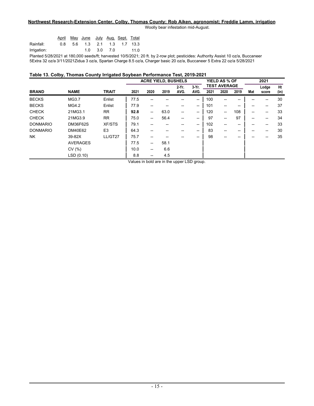#### **Northwest Research-Extension Center, Colby, Thomas County; Rob Aiken, agronomist; Freddie Lamm, irrigation**

Woolly bear infestation mid-August.

|             |  | April May June July Aug Sept. Total |          |  |      |
|-------------|--|-------------------------------------|----------|--|------|
| Rainfall:   |  | 0.8 5.6 1.3 2.1 1.3 1.7 13.3        |          |  |      |
| Irrigation: |  |                                     | 10 30 70 |  | 11.0 |

Planted 5/28/2021 at 180,000 seeds/ft; harvested 10/5/2021; 20 ft. by 2-row plot; pesticides: Authority Assist 10 oz/a, Buccaneer 5Extra 32 oz/a 3/11/2021Zidua 3 oz/a, Spartan Charge 8.5 oz/a, Charger basic 20 oz/a, Buccaneer 5 Extra 22 oz/a 5/28/2021

#### **Table 13. Colby, Thomas County Irrigated Soybean Performance Test, 2019-2021**

|                 |                |              |                          |           |          |                                    |                    |                                       |      |                                              | 2021  |      |
|-----------------|----------------|--------------|--------------------------|-----------|----------|------------------------------------|--------------------|---------------------------------------|------|----------------------------------------------|-------|------|
|                 |                |              |                          |           | $2-Yr$ . | $3-Yr$ .                           |                    |                                       |      |                                              | Lodge | Ht   |
|                 |                |              |                          |           |          |                                    |                    |                                       |      |                                              | score | (in) |
| MG3.7           | Enlist         | 77.5         |                          |           |          | --                                 | 100                | --                                    | --   |                                              |       | 30   |
| MG4.2           | Enlist         | 77.9         | --                       | --        | --       | $\overline{\phantom{a}}$           | 101                | $\hspace{0.05cm}$                     | --   | --                                           | --    | 37   |
| 21MG3.1         | <b>RR</b>      | 92.8         | $\hspace{0.05cm}$        | 63.0      | --       | $\hspace{0.05cm}$                  | 120                | $\overline{\phantom{a}}$              | 108  | --                                           | --    | 33   |
| 21MG3.9         | <b>RR</b>      | 75.0         | $\overline{\phantom{a}}$ | 56.4      | --       | $\hspace{0.05cm}$                  | 97                 | $\overline{\phantom{a}}$              | 97   | --                                           | --    | 34   |
| DM36F62S        | <b>XF/STS</b>  | 79.1         |                          | --        |          | $\hspace{0.05cm}$                  | 102                | --                                    | --   | --                                           | --    | 33   |
| <b>DM40E62</b>  | E <sub>3</sub> | 64.3         |                          |           |          | $\hspace{0.05cm}$                  | 83                 | $\hspace{0.05cm}$ – $\hspace{0.05cm}$ | --   |                                              |       | 30   |
| 39-82X          | LL/GT27        | 75.7         | --                       |           |          | --                                 | 98                 | --                                    |      |                                              |       | 35   |
| <b>AVERAGES</b> |                | 77.5         | $\hspace{0.05cm}$        | 58.1      |          |                                    |                    |                                       |      |                                              |       |      |
| CV(%)           |                | 10.0         | --                       | 6.6       |          |                                    |                    |                                       |      |                                              |       |      |
| LSD (0.10)      |                | 8.8          | $\hspace{0.05cm}$        | 4.5       |          |                                    |                    |                                       |      |                                              |       |      |
|                 | <b>NAME</b>    | <b>TRAIT</b> | 2021<br>.                | 2020<br>. | 2019     | <b>ACRE YIELD, BUSHELS</b><br>AVG. | AVG.<br>$\sim$ $-$ | 2021                                  | 2020 | YIELD AS % OF<br><b>TEST AVERAGE</b><br>2019 | Mat   |      |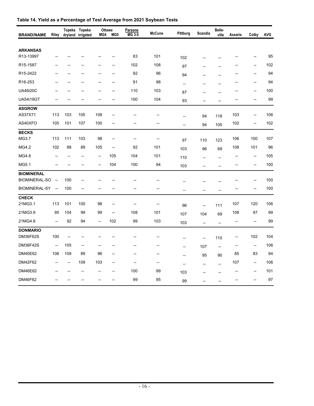| <b>BRAND/NAME</b>            | Riley                    |                          | Topeka Topeka<br>dryland irrigated | Ottawa<br>MG4            | MG5                      | <b>Parsons</b><br>MG 3-5 | <b>McCune</b> | Pittburg       | Scandia                  | Belle-<br>ville          | Assaria        | Colby          | <b>AVG</b> |
|------------------------------|--------------------------|--------------------------|------------------------------------|--------------------------|--------------------------|--------------------------|---------------|----------------|--------------------------|--------------------------|----------------|----------------|------------|
|                              |                          |                          |                                    |                          |                          |                          |               |                |                          |                          |                |                |            |
| <b>ARKANSAS</b><br>R13-13997 |                          |                          |                                    |                          | --                       | 83                       | 101           | 102            |                          |                          |                |                | 95         |
| R15-1587                     |                          |                          |                                    |                          | --                       | 102                      | 108           | 97             |                          | --                       |                | --             | 102        |
| R15-2422                     |                          |                          |                                    | --                       | --                       | 92                       | 96            | 94             |                          | $\overline{\phantom{a}}$ | --             | --             | 94         |
| R <sub>16</sub> -253         |                          |                          |                                    |                          | --                       | 91                       | 98            | --             |                          |                          |                | --             | 94         |
| <b>UA46i20C</b>              |                          |                          |                                    |                          | --                       | 110                      | 103           | 87             | --                       | --                       |                | --             | 100        |
| UA54i19GT                    |                          |                          | --                                 |                          | $\overline{a}$           | 100                      | 104           | 93             | $\overline{\phantom{a}}$ | $\overline{\phantom{a}}$ | $\overline{a}$ |                | 99         |
| <b>ASGROW</b>                |                          |                          |                                    |                          |                          |                          |               |                |                          |                          |                |                |            |
| AS37X71                      | 113                      | 103                      | 105                                | 108                      | $\overline{a}$           | --                       | --            | --             | 94                       | 118                      | 103            | $\overline{a}$ | 106        |
| AS40XFO                      | 105                      | 101                      | 107                                | 100                      | --                       | --                       | --            | $\overline{a}$ | 94                       | 105                      | 102            | --             | 102        |
| <b>BECKS</b><br>MG3.7        | 113                      | 111                      | 103                                | 98                       | $\overline{a}$           | --                       | --            | 97             | 110                      | 123                      | 106            | 100            | 107        |
| MG4.2                        | 102                      | 88                       | 89                                 | 105                      | $\overline{\phantom{a}}$ | 92                       | 101           | 103            | 96                       | 68                       | 108            | 101            | 96         |
| MG4.8                        | --                       | $\overline{\phantom{a}}$ | $\overline{\phantom{a}}$           | $\overline{\phantom{a}}$ | 105                      | 104                      | 101           | 110            | $\overline{a}$           | --                       | --             | --             | 105        |
| MG5.1                        | --                       |                          | --                                 | --                       | 104                      | 100                      | 94            | 103            | --                       | --                       | --             | --             | 100        |
| <b>BIOMINERAL</b>            |                          |                          |                                    |                          |                          |                          |               |                |                          |                          |                |                |            |
| <b>BIOMINERAL-SO</b>         | $\overline{\phantom{a}}$ | 100                      |                                    |                          |                          |                          | --            |                |                          |                          |                | --             | 100        |
| <b>BIOMINERAL-SY</b>         | $\overline{\phantom{a}}$ | 100                      | $\overline{\phantom{a}}$           | --                       |                          | --                       | --            | $\overline{a}$ | --                       | --                       |                | --             | 100        |
| <b>CHECK</b><br>21MG3.1      | 113                      | 101                      | 100                                | 98                       | --                       | --                       | --            | 96             | --                       | 111                      | 107            | 120            | 106        |
| 21MG3.9                      | 95                       | 104                      | 99                                 | 99                       | $\overline{\phantom{a}}$ | 108                      | 101           | 107            | 104                      | 69                       | 108            | 97             | 99         |
| 21MG4.8                      | --                       | 92                       | 94                                 | --                       | 102                      | 99                       | 103           | 103            | $\overline{\phantom{a}}$ | --                       | --             | --             | 99         |
| <b>DONMARIO</b>              |                          |                          |                                    |                          |                          |                          |               |                |                          |                          |                |                |            |
| DM36F62S                     | 100                      | $\overline{\phantom{a}}$ | --                                 |                          |                          | --                       | --            | --             | $\qquad \qquad -$        | 110                      | --             | 102            | 104        |
| <b>DM38F42S</b>              | $\overline{\phantom{a}}$ | 105                      | $\overline{\phantom{a}}$           | --                       |                          | --                       | --            | $\overline{a}$ | 107                      | --                       | $\overline{a}$ | --             | 106        |
| DM40E62                      | 108                      | 109                      | 89                                 | 96                       | --                       | --                       | --            | $\overline{a}$ | 95                       | 90                       | 85             | 83             | 94         |
| DM42F62                      | --                       | $\overline{\phantom{a}}$ | 109                                | 103                      | $\overline{a}$           | --                       | --            | $\overline{a}$ | --                       | --                       | 107            | --             | 106        |
| DM46E62                      |                          |                          |                                    | --                       | --                       | 100                      | 99            | 103            |                          | --                       |                | $\overline{a}$ | 101        |
| DM46F62                      |                          |                          |                                    |                          | --                       | 99                       | 95            | 99             | --                       | $\overline{a}$           |                |                | 97         |

## **Table 14. Yield as a Percentage of Test Average from 2021 Soybean Tests**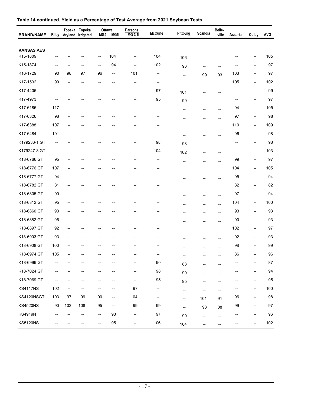| <b>BRAND/NAME</b>             | Riley                    | dryland                                             | Topeka Topeka<br>irrigated | MG4 | Ottawa<br>MG <sub>5</sub> | Parsons<br>MG 3-5 | <b>McCune</b> | Pittburg                 | Scandia                  | Belle-<br>ville          | Assaria                  | Colby                    | AVG     |
|-------------------------------|--------------------------|-----------------------------------------------------|----------------------------|-----|---------------------------|-------------------|---------------|--------------------------|--------------------------|--------------------------|--------------------------|--------------------------|---------|
|                               |                          |                                                     |                            |     |                           |                   |               |                          |                          |                          |                          |                          |         |
| <b>KANSAS AES</b><br>K15-1809 |                          |                                                     |                            | --  | 104                       | --                | 104           | 106                      | --                       |                          |                          |                          | 105     |
| K15-1874                      | --                       |                                                     |                            | --  | 94                        | --                | 102           | 96                       | --                       | $\overline{a}$           |                          | --                       | 97      |
| K16-1729                      | 90                       | 98                                                  | 97                         | 96  | --                        | 101               | --            | --                       | 99                       | 93                       | 103                      | --                       | 97      |
| K17-1532                      | 99                       | $\overline{\phantom{a}}$                            | $\overline{\phantom{a}}$   | --  | --                        | --                | --            | --                       | --                       | $\overline{a}$           | 105                      | --                       | 102     |
| K17-4406                      | --                       |                                                     | --                         | --  | --                        | --                | 97            | 101                      | --                       | $\overline{a}$           | --                       | --                       | 99      |
| K17-4973                      | --                       |                                                     |                            | --  | --                        | --                | 95            | 99                       | --                       | --                       | --                       | --                       | 97      |
| K17-6185                      | 117                      | --                                                  |                            |     |                           | --                | --            | --                       | --                       |                          | 94                       | --                       | 105     |
| K17-6326                      | 98                       | $\overline{\phantom{a}}$                            |                            |     | --                        | --                | --            | --                       | --                       | --                       | 97                       | --                       | 98      |
| K17-6388                      | 107                      | $\overline{\phantom{a}}$                            |                            |     | --                        | --                | --            | --                       | --                       | $-$                      | 110                      | $\overline{\phantom{a}}$ | 109     |
| K17-6484                      | 101                      | --                                                  |                            |     | --                        | -−                | --            | -−                       | н,                       | --                       | 96                       | --                       | 98      |
| K179236-1 GT                  | --                       | --                                                  | --                         | -−  | -−                        | --                | 98            | 98                       | --                       | --                       | $\overline{\phantom{a}}$ | $\overline{\phantom{a}}$ | 98      |
| K179247-8 GT                  | $\overline{\phantom{a}}$ |                                                     |                            | --  |                           | -−                | 104           | 102                      | --                       |                          | $\overline{\phantom{a}}$ | --                       | 103     |
| K18-6766 GT                   | 95                       |                                                     |                            |     |                           | --                | --            | --                       | --                       | $\overline{a}$           | 99                       | --                       | 97      |
| K18-6776 GT                   | 107                      | $\overline{\phantom{a}}$                            |                            |     | --                        | --                | --            | --                       | --                       | $\overline{\phantom{a}}$ | 104                      | $\overline{\phantom{a}}$ | 105     |
| K18-6777 GT                   | 94                       | $\overline{\phantom{a}}$                            |                            |     | --                        | --                | --            | $-$                      | --                       | $\overline{a}$           | 95                       | --                       | 94      |
| K18-6782 GT                   | 81                       | $\overline{\phantom{a}}$                            | --                         | --  | --                        | -−                | --            |                          | --                       | $-$                      | 82                       | $\overline{\phantom{a}}$ | 82      |
| K18-6805 GT                   | 90                       | --                                                  |                            |     |                           |                   | -−            |                          | --                       | $\overline{a}$           | 97                       | --                       | 94      |
| K18-6812 GT                   | 95                       | --                                                  |                            |     | --                        | --                | --            | --                       | $\overline{\phantom{a}}$ | $\overline{a}$           | 104                      | --                       | 100     |
| K18-6860 GT                   | 93                       | $\overline{\phantom{a}}$                            |                            | --  | --                        | --                | --            | --                       | --                       | $\overline{\phantom{a}}$ | 93                       | $\overline{\phantom{a}}$ | 93      |
| K18-6882 GT                   | 96                       | --                                                  | --                         | --  | --                        | --                | --            |                          | --                       | $\overline{a}$           | 90                       | $\overline{\phantom{a}}$ | 93      |
| K18-6897 GT                   | 92                       | --                                                  | --                         | --  | --                        | --                | --            |                          | --                       | --                       | 102                      | $\overline{\phantom{a}}$ | 97      |
| K18-6903 GT                   | 93                       |                                                     |                            |     |                           |                   |               |                          |                          |                          | 92                       | --                       | 93      |
| K18-6908 GT                   | 100                      |                                                     |                            |     |                           |                   |               |                          | --                       |                          | 98                       |                          | 99      |
| K18-6974 GT                   | 105                      |                                                     |                            |     |                           |                   |               | --                       |                          |                          | 86                       |                          | 96      |
| K18-6996 GT                   |                          |                                                     | --                         |     |                           | --                | 90            | 83                       |                          | --                       | --                       | $\overline{\phantom{a}}$ | 87      |
| K18-7024 GT                   |                          |                                                     |                            | −−  |                           | --                | 98            | $90\,$                   |                          | --                       |                          | --                       | 94      |
| K18-7069 GT                   | --                       | --                                                  | --                         | --  | --                        | --                | 95            | 95                       | --                       | --                       | --                       | $\qquad \qquad \cdots$   | 95      |
| <b>KS4117NS</b>               | 102                      | $\hspace{0.05cm} -\hspace{0.05cm} -\hspace{0.05cm}$ |                            |     |                           | 97                | --            | --                       | $\overline{\phantom{a}}$ | --                       |                          | $\qquad \qquad -$        | 100     |
| KS4120NSGT                    | 103                      | 97                                                  | 99                         | 90  | --                        | 104               | --            | $\overline{\phantom{a}}$ | 101                      | 91                       | 96                       | $\overline{\phantom{a}}$ | 98      |
| <b>KS4520NS</b>               | $90\,$                   | 103                                                 | 108                        | 95  | ۰.                        | 99                | 99            | --                       | 93                       | 88                       | 99                       | $\overline{\phantom{a}}$ | 97      |
| <b>KS4919N</b>                | --                       |                                                     | --                         | ⊷   | 93                        | --                | $97\,$        | 99                       | --                       | $\overline{\phantom{a}}$ | --                       | --                       | 96      |
| <b>KS5120NS</b>               |                          |                                                     |                            | --  | $95\,$                    | --                | 106           | 104                      | --                       | --                       | --                       | --                       | $102\,$ |

## **Table 14 continued. Yield as a Percentage of Test Average from 2021 Soybean Tests**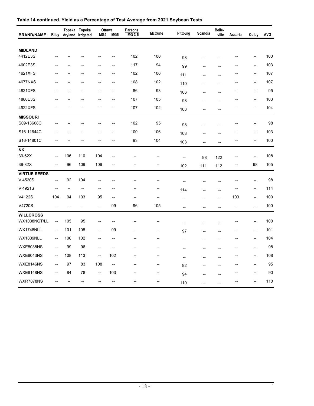| <b>BRAND/NAME</b>                | Riley                    |                | Topeka Topeka<br>dryland irrigated | Ottawa<br>MG4            | MG5                      | <b>Parsons</b><br>$MG3-5$ | <b>McCune</b> | Pittburg | Scandia                  | Belle-<br>ville | Assaria        | Colby          | <b>AVG</b> |
|----------------------------------|--------------------------|----------------|------------------------------------|--------------------------|--------------------------|---------------------------|---------------|----------|--------------------------|-----------------|----------------|----------------|------------|
|                                  |                          |                |                                    |                          |                          |                           |               |          |                          |                 |                |                |            |
| <b>MIDLAND</b><br>4412E3S        |                          |                |                                    |                          |                          | 102                       | 100           | 98       |                          |                 |                | --             | 100        |
| 4602E3S                          |                          |                |                                    |                          | --                       | 117                       | 94            | 99       | --                       | $\overline{a}$  |                | --             | 103        |
| 4621XFS                          |                          |                |                                    |                          | --                       | 102                       | 106           | 111      | $\overline{\phantom{a}}$ | $\overline{a}$  |                | $\overline{a}$ | 107        |
| 4677NXS                          |                          |                |                                    | --                       | $\overline{\phantom{0}}$ | 108                       | 102           | 110      |                          |                 |                | $\overline{a}$ | 107        |
| 4821XFS                          |                          |                |                                    |                          | --                       | 86                        | 93            | 106      | --                       | --              |                | --             | 95         |
| 4880E3S                          |                          |                |                                    |                          | --                       | 107                       | 105           | 98       | $\overline{a}$           |                 |                | --             | 103        |
| 4922XFS                          |                          |                |                                    | $\overline{a}$           | $\overline{\phantom{0}}$ | 107                       | 102           | 103      | $\overline{a}$           | $\overline{a}$  |                | $\overline{a}$ | 104        |
| <b>MISSOURI</b><br>S09-13608C    |                          |                |                                    |                          | --                       | 102                       | 95            | 98       |                          |                 |                | --             | 98         |
| S16-11644C                       |                          |                |                                    |                          | --                       | 100                       | 106           | 103      |                          |                 |                | $\overline{a}$ | 103        |
| S16-14801C                       |                          |                |                                    | $\overline{a}$           | --                       | 93                        | 104           | 103      | --                       | --              |                | --             | 100        |
| $\overline{\mathsf{NK}}$         |                          |                |                                    |                          |                          |                           |               |          |                          |                 |                |                |            |
| 39-62X                           | $\overline{\phantom{a}}$ | 106            | 110                                | 104                      | --                       | --                        | --            | --       | 98                       | 122             |                | --             | 108        |
| 39-82X                           | $-$                      | 96             | 109                                | 106                      | --                       | --                        | --            | 102      | 111                      | 112             |                | 98             | 105        |
| <b>VIRTUE SEEDS</b><br>V 4520S   | --                       | 92             | 104                                | --                       | --                       | --                        | --            | --       |                          |                 |                | --             | 98         |
| V 4921S                          | $\overline{a}$           | $\overline{a}$ | $\overline{a}$                     | --                       | --                       | --                        | --            | 114      |                          | --              | --             | --             | 114        |
| V4122S                           | 104                      | 94             | 103                                | 95                       | --                       | --                        | --            | --       | $\overline{a}$           | $\overline{a}$  | 103            | --             | 100        |
| V4720S                           | $\overline{\phantom{a}}$ | $\overline{a}$ | $\overline{\phantom{a}}$           | --                       | 99                       | 96                        | 105           | --       | --                       | $\overline{a}$  | $\overline{a}$ | --             | 100        |
| <b>WILLCROSS</b><br>WX1038NGT/LL | $\overline{\phantom{a}}$ | 105            | 95                                 | --                       | --                       | --                        |               | --       | --                       |                 |                |                | 100        |
| WX1748NLL                        | --                       | 101            | 108                                | --                       | 99                       | --                        | --            | 97       | $\overline{a}$           | $\overline{a}$  | --             | --             | 101        |
| <b>WX1839NLL</b>                 | $\overline{\phantom{a}}$ | 106            | 102                                | --                       | --                       | --                        | --            | --       | --                       | --              |                | $\overline{a}$ | 104        |
| <b>WXE8038NS</b>                 | $\overline{\phantom{a}}$ | 99             | 96                                 | $\overline{\phantom{a}}$ | $\overline{\phantom{a}}$ | --                        | --            | --       | --                       | --              | --             | --             | 98         |
| <b>WXE8043NS</b>                 | $\overline{\phantom{a}}$ | 108            | 113                                | --                       | 102                      | $\overline{\phantom{a}}$  | --            | --       | --                       | --              | --             | $\overline{a}$ | 108        |
| <b>WXE8146NS</b>                 | $\overline{\phantom{a}}$ | 97             | 83                                 | 108                      | --                       | --                        | --            | 92       |                          |                 |                | $\overline{a}$ | 95         |
| <b>WXE8148NS</b>                 | $-$                      | 84             | 78                                 | --                       | 103                      | $-$                       | --            | 94       |                          | $\overline{a}$  |                | $\overline{a}$ | 90         |
| WXR7878NS                        |                          |                |                                    |                          | --                       | --                        | --            | 110      | $\overline{a}$           | --              |                |                | 110        |

## **Table 14 continued. Yield as a Percentage of Test Average from 2021 Soybean Tests**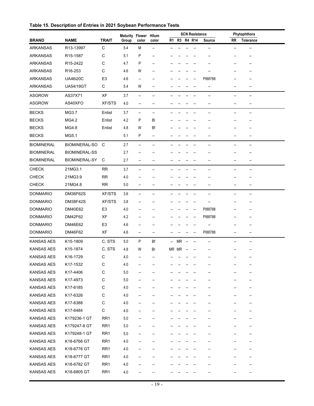| Table 15. Description of Entries in 2021 Soybean Performance Tests |  |  |  |
|--------------------------------------------------------------------|--|--|--|
|--------------------------------------------------------------------|--|--|--|

|                   |                      |                 | Maturity Flower Hilum |                          |                          | <b>SCN Resistance</b> |              |  |                          | Phytophthora             |           |                          |
|-------------------|----------------------|-----------------|-----------------------|--------------------------|--------------------------|-----------------------|--------------|--|--------------------------|--------------------------|-----------|--------------------------|
| <b>BRAND</b>      | <b>NAME</b>          | <b>TRAIT</b>    | Group                 | color                    | color                    |                       | R1 R3 R4 R14 |  |                          | Source                   | <b>RR</b> | <b>Tolerance</b>         |
| <b>ARKANSAS</b>   | R13-13997            | $\mathsf C$     | 5.4                   | M                        | $\overline{\phantom{a}}$ | --                    |              |  |                          | --                       | --        | $\overline{\phantom{a}}$ |
| <b>ARKANSAS</b>   | R15-1587             | C               | 5.1                   | P                        | $\overline{\phantom{a}}$ |                       |              |  |                          |                          |           | $\overline{\phantom{a}}$ |
| <b>ARKANSAS</b>   | R15-2422             | $\mathsf C$     | 4.7                   | P                        | $\overline{a}$           |                       |              |  |                          |                          | --        | --                       |
| <b>ARKANSAS</b>   | R16-253              | C               | 4.6                   | W                        | --                       |                       |              |  |                          |                          |           |                          |
| <b>ARKANSAS</b>   | <b>UA46i20C</b>      | E <sub>3</sub>  | 4.6                   | --                       | --                       |                       |              |  |                          | PI88788                  | --        |                          |
| <b>ARKANSAS</b>   | <b>UA54i19GT</b>     | С               | 5.4                   | W                        | --                       |                       |              |  |                          | --                       | --        | --                       |
| <b>ASGROW</b>     | AS37X71              | XF              | 3.7                   | $\overline{\phantom{a}}$ | $\overline{\phantom{a}}$ |                       |              |  |                          | --                       | --        | --                       |
| <b>ASGROW</b>     | AS40XFO              | <b>XF/STS</b>   | 4.0                   | $\overline{\phantom{a}}$ | $\overline{\phantom{a}}$ |                       |              |  |                          | --                       | --        | $\overline{a}$           |
| <b>BECKS</b>      | MG3.7                | Enlist          | 3.7                   | $\overline{\phantom{a}}$ | $\overline{\phantom{a}}$ |                       |              |  |                          | $\overline{\phantom{a}}$ | --        | $\overline{\phantom{a}}$ |
| <b>BECKS</b>      | MG4.2                | Enlist          | 4.2                   | P                        | BI                       |                       |              |  |                          |                          |           |                          |
| <b>BECKS</b>      | MG4.8                | Enlist          | 4.8                   | W                        | Bf                       |                       |              |  |                          |                          | --        | --                       |
| <b>BECKS</b>      | MG5.1                |                 | 5.1                   | P                        | $\overline{\phantom{a}}$ |                       |              |  |                          | --                       | --        | $\overline{\phantom{a}}$ |
| <b>BIOMINERAL</b> | <b>BIOMINERAL-SO</b> | C               | 2.7                   | $\overline{\phantom{a}}$ | $\overline{\phantom{a}}$ |                       |              |  |                          | --                       | --        | --                       |
| <b>BIOMINERAL</b> | <b>BIOMINERAL-SS</b> |                 | 2.7                   | $\overline{\phantom{a}}$ | $\overline{\phantom{a}}$ |                       |              |  |                          |                          | --        | $\overline{\phantom{a}}$ |
| <b>BIOMINERAL</b> | <b>BIOMINERAL-SY</b> | С               | 2.7                   | $\overline{\phantom{a}}$ | $\overline{\phantom{a}}$ | --                    |              |  |                          | --                       | --        | $\overline{\phantom{a}}$ |
| <b>CHECK</b>      | 21MG3.1              | <b>RR</b>       | 3.7                   | $\overline{\phantom{a}}$ | --                       |                       |              |  |                          | $\overline{\phantom{a}}$ | --        | $\overline{\phantom{a}}$ |
| <b>CHECK</b>      | 21MG3.9              | <b>RR</b>       | 4.0                   | $\overline{\phantom{a}}$ | --                       |                       |              |  |                          |                          | --        | $\overline{\phantom{a}}$ |
| <b>CHECK</b>      | 21MG4.8              | <b>RR</b>       | 5.0                   | $\overline{\phantom{a}}$ | $\overline{\phantom{a}}$ |                       |              |  |                          | --                       | --        | $\overline{\phantom{a}}$ |
| <b>DONMARIO</b>   | <b>DM36F62S</b>      | <b>XF/STS</b>   | 3.6                   | $\overline{\phantom{a}}$ | --                       |                       |              |  |                          | --                       | --        | $\overline{\phantom{a}}$ |
| <b>DONMARIO</b>   | <b>DM38F42S</b>      | <b>XF/STS</b>   | 3.8                   | $\overline{\phantom{a}}$ | --                       |                       |              |  |                          |                          | --        | $\overline{\phantom{a}}$ |
| <b>DONMARIO</b>   | DM40E62              | E <sub>3</sub>  | 4.0                   | $\overline{\phantom{a}}$ | --                       |                       |              |  | $\overline{\phantom{a}}$ | PI88788                  | --        | $\overline{\phantom{a}}$ |
| <b>DONMARIO</b>   | DM42F62              | XF              | 4.2                   | $\overline{\phantom{a}}$ | --                       |                       |              |  | $\overline{\phantom{a}}$ | PI88788                  | --        | --                       |
| <b>DONMARIO</b>   | DM46E62              | E <sub>3</sub>  | 4.6                   | $\overline{\phantom{a}}$ | --                       |                       |              |  |                          |                          | --        |                          |
| <b>DONMARIO</b>   | DM46F62              | XF              | 4.6                   | $\overline{\phantom{a}}$ | --                       |                       |              |  | $\overline{\phantom{a}}$ | PI88788                  | --        | $\overline{\phantom{a}}$ |
| <b>KANSAS AES</b> | K15-1809             | C, STS          | 5.0                   | P                        | Bf                       | --                    | MR           |  | $\overline{\phantom{a}}$ | $\overline{\phantom{a}}$ | --        | $\overline{\phantom{a}}$ |
| <b>KANSAS AES</b> | K15-1874             | C, STS          | 4.8                   | W                        | Br                       |                       | MR MR        |  |                          |                          |           |                          |
| <b>KANSAS AES</b> | K16-1729             | С               | 4.0                   | $\overline{\phantom{a}}$ | $\overline{\phantom{a}}$ | --                    | --           |  |                          | --                       | --        | $\overline{\phantom{a}}$ |
| KANSAS AES        | K17-1532             | С               | 4.0                   | $\overline{\phantom{a}}$ | --                       |                       |              |  |                          |                          |           | $\overline{\phantom{a}}$ |
| <b>KANSAS AES</b> | K17-4406             | C               | 5.0                   | $\overline{\phantom{a}}$ |                          |                       |              |  |                          |                          |           | --                       |
| <b>KANSAS AES</b> | K17-4973             | С               | 5.0                   | $\overline{\phantom{a}}$ | --                       |                       |              |  |                          |                          | --        | $\overline{\phantom{a}}$ |
| <b>KANSAS AES</b> | K17-6185             | С               | 4.0                   | --                       |                          |                       |              |  |                          |                          | --        | --                       |
| <b>KANSAS AES</b> | K17-6326             | С               | 4.0                   | --                       |                          |                       |              |  |                          |                          |           |                          |
| <b>KANSAS AES</b> | K17-6388             | С               | 4.0                   | $\overline{\phantom{a}}$ |                          |                       |              |  |                          |                          | --        | --                       |
| <b>KANSAS AES</b> | K17-6484             | C               | 4.0                   | $\overline{\phantom{a}}$ |                          |                       |              |  |                          |                          | --        | $\overline{\phantom{a}}$ |
| <b>KANSAS AES</b> | K179236-1 GT         | RR <sub>1</sub> | 5.0                   | --                       |                          |                       |              |  |                          |                          |           |                          |
| <b>KANSAS AES</b> | K179247-8 GT         | RR <sub>1</sub> | 5.0                   |                          |                          |                       |              |  |                          |                          |           |                          |
| <b>KANSAS AES</b> | K179248-1 GT         | RR <sub>1</sub> | 5.0                   | --                       |                          |                       |              |  |                          |                          |           |                          |
| <b>KANSAS AES</b> | K18-6766 GT          | RR <sub>1</sub> | 4.0                   | --                       |                          |                       |              |  |                          |                          |           |                          |
| <b>KANSAS AES</b> | K18-6776 GT          | RR <sub>1</sub> | 4.0                   | $\overline{\phantom{a}}$ |                          |                       |              |  |                          |                          |           |                          |
| <b>KANSAS AES</b> | K18-6777 GT          | RR <sub>1</sub> | 4.0                   |                          |                          |                       |              |  |                          |                          |           |                          |
| <b>KANSAS AES</b> |                      |                 |                       |                          |                          |                       |              |  |                          |                          |           |                          |
|                   | K18-6782 GT          | RR <sub>1</sub> | 4.0                   | --                       |                          |                       |              |  |                          |                          |           |                          |
| <b>KANSAS AES</b> | K18-6805 GT          | RR <sub>1</sub> | 4.0                   |                          |                          |                       |              |  |                          |                          |           |                          |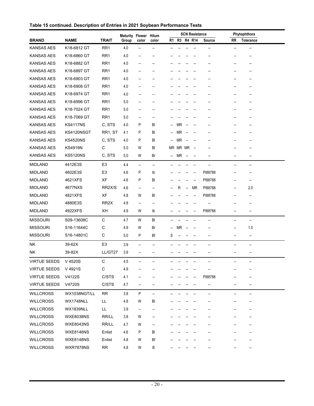| Table 15 continued. Description of Entries in 2021 Soybean Performance Tests |  |  |
|------------------------------------------------------------------------------|--|--|
|                                                                              |  |  |

|                     |                  |                   | Maturity Flower |                          | Hilum                    |                          |           |                          | <b>SCN Resistance</b>    |         | Phytophthora |                          |  |
|---------------------|------------------|-------------------|-----------------|--------------------------|--------------------------|--------------------------|-----------|--------------------------|--------------------------|---------|--------------|--------------------------|--|
| <b>BRAND</b>        | <b>NAME</b>      | <b>TRAIT</b>      | Group           | color                    | color                    | R1                       |           |                          | R3 R4 R14                | Source  | <b>RR</b>    | <b>Tolerance</b>         |  |
| <b>KANSAS AES</b>   | K18-6812 GT      | RR <sub>1</sub>   | 4.0             | --                       | --                       |                          |           |                          |                          |         |              | $\overline{\phantom{a}}$ |  |
| <b>KANSAS AES</b>   | K18-6860 GT      | RR <sub>1</sub>   | 4.0             | $\overline{\phantom{a}}$ | $\overline{\phantom{a}}$ |                          |           |                          |                          |         |              | --                       |  |
| <b>KANSAS AES</b>   | K18-6882 GT      | RR <sub>1</sub>   | 4.0             | $\overline{a}$           |                          |                          |           |                          |                          |         |              |                          |  |
| <b>KANSAS AES</b>   | K18-6897 GT      | RR <sub>1</sub>   | 4.0             | --                       | --                       |                          |           |                          |                          |         |              |                          |  |
| <b>KANSAS AES</b>   | K18-6903 GT      | RR <sub>1</sub>   | 4.0             | --                       |                          |                          |           |                          |                          |         |              |                          |  |
| <b>KANSAS AES</b>   | K18-6908 GT      | RR <sub>1</sub>   | 4.0             | $\overline{\phantom{a}}$ | $\overline{\phantom{a}}$ |                          |           |                          |                          |         |              | --                       |  |
| KANSAS AES          | K18-6974 GT      | RR <sub>1</sub>   | 4.0             | $\overline{a}$           |                          |                          |           |                          |                          |         |              |                          |  |
| <b>KANSAS AES</b>   | K18-6996 GT      | RR <sub>1</sub>   | 5.0             | $\overline{\phantom{a}}$ | --                       |                          |           |                          |                          |         |              |                          |  |
| <b>KANSAS AES</b>   | K18-7024 GT      | RR <sub>1</sub>   | 5.0             | $\overline{\phantom{a}}$ | --                       |                          |           |                          |                          |         |              |                          |  |
| <b>KANSAS AES</b>   | K18-7069 GT      | RR <sub>1</sub>   | 5.0             | $\overline{\phantom{a}}$ | $\overline{\phantom{a}}$ |                          |           |                          |                          |         |              | --                       |  |
| KANSAS AES          | <b>KS4117NS</b>  | C, STS            | 4.0             | P                        | BI                       | Ξ.                       | <b>MR</b> |                          |                          |         |              |                          |  |
| <b>KANSAS AES</b>   | KS4120NSGT       | RR1, ST           | 4.1             | P                        | BI                       | $\overline{\phantom{a}}$ | <b>MR</b> |                          |                          |         |              |                          |  |
| <b>KANSAS AES</b>   | <b>KS4520NS</b>  | C, STS            | 4.0             | P                        | BI                       | $\overline{\phantom{a}}$ | <b>MR</b> |                          |                          |         |              |                          |  |
| <b>KANSAS AES</b>   | <b>KS4919N</b>   | C                 | 5.0             | W                        | BI                       | <b>MR</b>                | MR MR     |                          | $\overline{\phantom{a}}$ |         |              |                          |  |
| <b>KANSAS AES</b>   | <b>KS5120NS</b>  | C, STS            | 5.0             | W                        | Br                       | --                       | MR        | $\overline{\phantom{a}}$ |                          |         |              |                          |  |
| <b>MIDLAND</b>      | 4412E3S          | E <sub>3</sub>    | 4.4             | $\qquad \qquad -$        | $\overline{\phantom{a}}$ |                          |           |                          |                          |         |              | $\overline{a}$           |  |
| <b>MIDLAND</b>      | 4602E3S          | E <sub>3</sub>    | 4.6             | P                        | lb                       |                          |           |                          | $\overline{\phantom{a}}$ | PI88788 | --           | $\overline{\phantom{a}}$ |  |
| <b>MIDLAND</b>      | 4621XFS          | XF                | 4.6             | P                        | BI                       |                          |           |                          | --                       | PI88788 |              | $\overline{a}$           |  |
| <b>MIDLAND</b>      | 4677NXS          | RR2X/S            | 4.6             | $\overline{\phantom{a}}$ | --                       |                          | R         | $\overline{\phantom{a}}$ | <b>MR</b>                | PI88788 | --           | 2.0                      |  |
| <b>MIDLAND</b>      | 4821XFS          | XF                | 4.8             | W                        | BI                       |                          |           |                          |                          | PI88788 | --           | --                       |  |
| <b>MIDLAND</b>      | 4880E3S          | RR <sub>2</sub> X | 4.8             | $\overline{\phantom{a}}$ | --                       |                          |           |                          |                          |         | --           | --                       |  |
| <b>MIDLAND</b>      | 4922XFS          | XH                | 4.9             | W                        | Ib                       |                          |           |                          |                          | PI88788 | --           | --                       |  |
| <b>MISSOURI</b>     | S09-13608C       | $\mathsf C$       | 4.7             | W                        | BI                       |                          |           |                          |                          | --      | --           | $\overline{\phantom{a}}$ |  |
| <b>MISSOURI</b>     | S16-11644C       | C                 | 4.9             | W                        | Br                       | $\overline{\phantom{a}}$ | ΜR        |                          |                          | --      | --           | 1.0                      |  |
| <b>MISSOURI</b>     | S16-14801C       | C                 | 5.0             | P                        | Bf                       | S                        |           |                          |                          | --      | --           | --                       |  |
| NK                  | 39-62X           | E <sub>3</sub>    | 3.9             | $\overline{\phantom{a}}$ | --                       |                          |           |                          |                          |         |              | --                       |  |
| NΚ                  | 39-82X           | LL/GT27           | 3.9             | $\overline{\phantom{a}}$ | $\overline{\phantom{a}}$ |                          |           |                          |                          |         | --           | $\qquad \qquad \cdots$   |  |
| <b>VIRTUE SEEDS</b> | V 4520S          | C                 | 4.5             | $\overline{\phantom{a}}$ |                          |                          |           |                          |                          |         |              | --                       |  |
| <b>VIRTUE SEEDS</b> | V 4921S          | С                 | 4.9             |                          |                          |                          |           |                          |                          |         |              |                          |  |
| <b>VIRTUE SEEDS</b> | V4122S           | C/STS             | 4.1             | --                       |                          |                          |           |                          |                          | PI88788 | --           |                          |  |
| <b>VIRTUE SEEDS</b> | V4720S           | C/STS             | 4.7             | --                       | $\overline{\phantom{a}}$ |                          |           |                          |                          | --      | --           | --                       |  |
| <b>WILLCROSS</b>    | WX1038NGT/LL     | <b>RR</b>         | 3.8             | P                        | $\qquad \qquad -$        |                          |           |                          |                          | --      | --           | $\qquad \qquad \cdots$   |  |
| <b>WILLCROSS</b>    | WX1748NLL        | LL.               | 4.8             | W                        | BI                       |                          |           |                          |                          |         |              | --                       |  |
| <b>WILLCROSS</b>    | WX1839NLL        | LL                | 3.9             | $\qquad \qquad \cdots$   | $\overline{\phantom{a}}$ |                          |           |                          |                          |         | --           | --                       |  |
| <b>WILLCROSS</b>    | <b>WXE8038NS</b> | RR/LL             | $3.8\,$         | W                        | $\overline{\phantom{a}}$ |                          |           |                          |                          |         | --           | $\overline{\phantom{a}}$ |  |
| <b>WILLCROSS</b>    | <b>WXE8043NS</b> | RR/LL             | 4.7             | W                        | --                       |                          |           |                          |                          |         |              |                          |  |
| <b>WILLCROSS</b>    | <b>WXE8146NS</b> | Enlist            | 4.6             | Ρ                        | BI                       |                          |           |                          |                          |         |              |                          |  |
| <b>WILLCROSS</b>    | <b>WXE8148NS</b> | Enlist            | 4.8             | W                        | Bf                       |                          |           |                          |                          |         |              |                          |  |
| <b>WILLCROSS</b>    | <b>WXR7878NS</b> | <b>RR</b>         | 4.8             | W                        | В                        |                          |           |                          |                          |         |              | --                       |  |